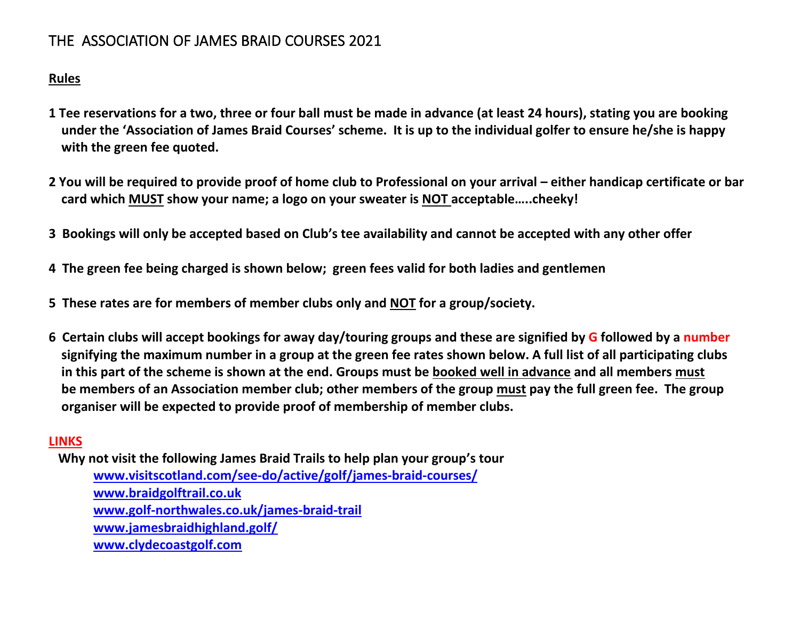# THE ASSOCIATION OF JAMES BRAID COURSES 2021

## **Rules**

- **1 Tee reservations for a two, three or four ball must be made in advance (at least 24 hours), stating you are booking under the 'Association of James Braid Courses' scheme. It is up to the individual golfer to ensure he/she is happy with the green fee quoted.**
- **2 You will be required to provide proof of home club to Professional on your arrival – either handicap certificate or bar card which MUST show your name; a logo on your sweater is NOT acceptable…..cheeky!**
- **3 Bookings will only be accepted based on Club's tee availability and cannot be accepted with any other offer**
- **4 The green fee being charged is shown below; green fees valid for both ladies and gentlemen**
- **5 These rates are for members of member clubs only and NOT for a group/society.**
- **6 Certain clubs will accept bookings for away day/touring groups and these are signified by G followed by a number signifying the maximum number in a group at the green fee rates shown below. A full list of all participating clubs in this part of the scheme is shown at the end. Groups must be booked well in advance and all members must be members of an Association member club; other members of the group must pay the full green fee. The group organiser will be expected to provide proof of membership of member clubs.**

## **LINKS**

 **Why not visit the following James Braid Trails to help plan your group's tour [www.visitscotland.com/see-do/active/golf/james-braid-courses/](http://www.visitscotland.com/see-do/active/golf/james-braid-courses/) [www.braidgolftrail.co.uk](http://www.braidgolftrail.co.uk/) [www.golf-northwales.co.uk/james-braid-trail](http://www.golf-northwales.co.uk/james-braid-trail) [www.jamesbraidhighland.golf/](http://www.jamesbraidhighland.golf/) [www.clydecoastgolf.com](http://www.clydecoastgolf.com/)**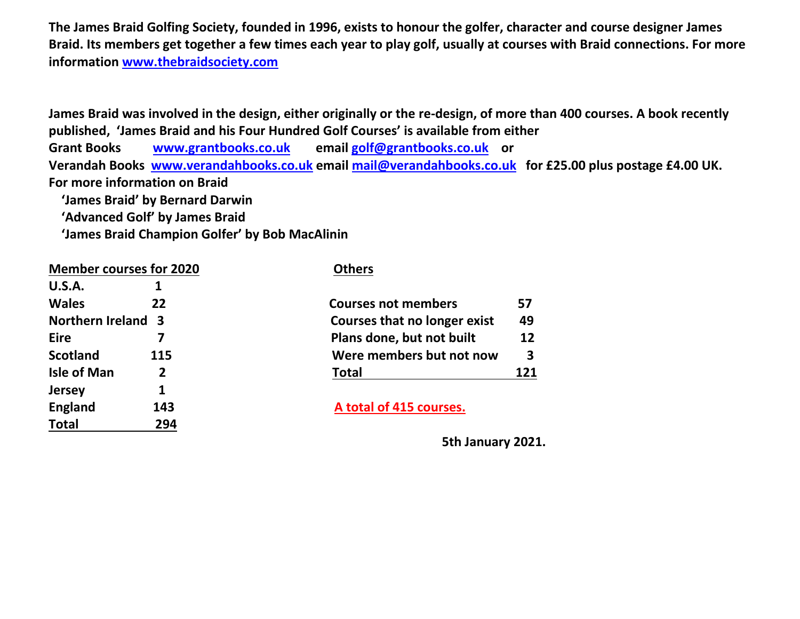**The James Braid Golfing Society, founded in 1996, exists to honour the golfer, character and course designer James Braid. Its members get together a few times each year to play golf, usually at courses with Braid connections. For more information [www.thebraidsociety.com](http://www.thebraidsociety.com/)**

**James Braid was involved in the design, either originally or the re-design, of more than 400 courses. A book recently published, 'James Braid and his Four Hundred Golf Courses' is available from either Grant Books [www.grantbooks.co.uk](http://www.grantbooks.co.uk/) email [golf@grantbooks.co.uk](mailto:golf@grantbooks.co.uk) or Verandah Books [www.verandahbooks.co.uk](http://www.verandahbooks.co.uk/) email [mail@verandahbooks.co.uk](mailto:mail@verandahbooks.co.uk) for £25.00 plus postage £4.00 UK. For more information on Braid 'James Braid' by Bernard Darwin**

 **'Advanced Golf' by James Braid**

 **'James Braid Champion Golfer' by Bob MacAlinin** 

| <b>Member courses for 2020</b> |     | <b>Others</b>                       |     |
|--------------------------------|-----|-------------------------------------|-----|
| <b>U.S.A.</b>                  |     |                                     |     |
| <b>Wales</b>                   | 22  | <b>Courses not members</b>          | 57  |
| <b>Northern Ireland 3</b>      |     | <b>Courses that no longer exist</b> |     |
| <b>Eire</b>                    |     | Plans done, but not built           | 12  |
| <b>Scotland</b>                | 115 | Were members but not now            | 3   |
| <b>Isle of Man</b>             | 2   | <b>Total</b>                        | 121 |
| <b>Jersey</b>                  |     |                                     |     |
| <b>England</b>                 | 143 | A total of 415 courses.             |     |
| <b>Total</b>                   | 294 |                                     |     |

| GISCS GIGGING IONSCI CAISG |     |
|----------------------------|-----|
| ans done, but not built    | 12  |
| ere members but not now    | 3   |
| tal                        | 121 |
|                            |     |

 **5th January 2021.**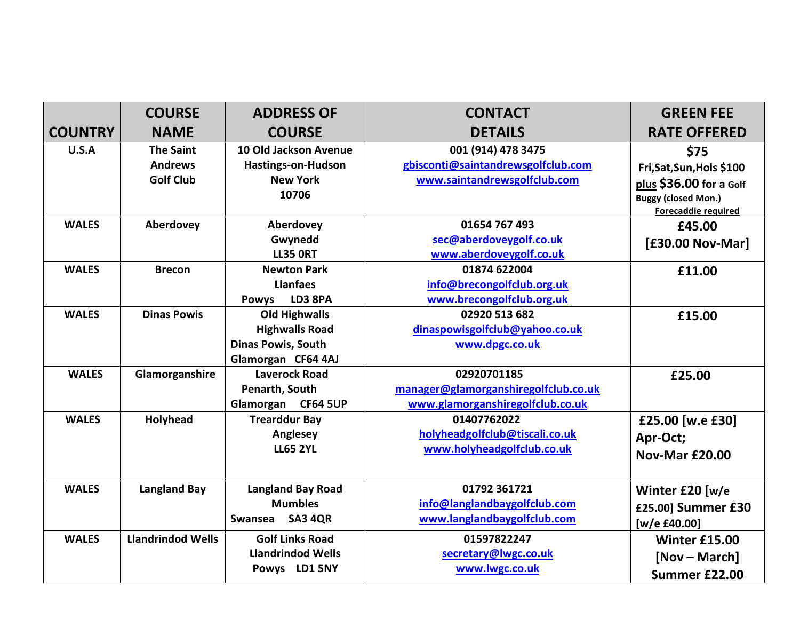|                | <b>COURSE</b>            | <b>ADDRESS OF</b>         | <b>CONTACT</b>                       | <b>GREEN FEE</b>           |
|----------------|--------------------------|---------------------------|--------------------------------------|----------------------------|
| <b>COUNTRY</b> | <b>NAME</b>              | <b>COURSE</b>             | <b>DETAILS</b>                       | <b>RATE OFFERED</b>        |
| U.S.A          | <b>The Saint</b>         | 10 Old Jackson Avenue     | 001 (914) 478 3475                   | \$75                       |
|                | <b>Andrews</b>           | Hastings-on-Hudson        | gbisconti@saintandrewsgolfclub.com   | Fri, Sat, Sun, Hols \$100  |
|                | <b>Golf Club</b>         | <b>New York</b>           | www.saintandrewsgolfclub.com         | plus \$36.00 for a Golf    |
|                |                          | 10706                     |                                      | <b>Buggy (closed Mon.)</b> |
|                |                          |                           |                                      | Forecaddie required        |
| <b>WALES</b>   | Aberdovey                | Aberdovey                 | 01654 767 493                        | £45.00                     |
|                |                          | Gwynedd                   | sec@aberdoveygolf.co.uk              | [£30.00 Nov-Mar]           |
|                |                          | <b>LL35 ORT</b>           | www.aberdoveygolf.co.uk              |                            |
| <b>WALES</b>   | <b>Brecon</b>            | <b>Newton Park</b>        | 01874 622004                         | £11.00                     |
|                |                          | <b>Llanfaes</b>           | info@brecongolfclub.org.uk           |                            |
|                |                          | LD3 8PA<br><b>Powys</b>   | www.brecongolfclub.org.uk            |                            |
| <b>WALES</b>   | <b>Dinas Powis</b>       | <b>Old Highwalls</b>      | 02920 513 682                        | £15.00                     |
|                |                          | <b>Highwalls Road</b>     | dinaspowisgolfclub@yahoo.co.uk       |                            |
|                |                          | <b>Dinas Powis, South</b> | www.dpgc.co.uk                       |                            |
|                |                          | Glamorgan CF64 4AJ        |                                      |                            |
| <b>WALES</b>   | Glamorganshire           | <b>Laverock Road</b>      | 02920701185                          | £25.00                     |
|                |                          | Penarth, South            | manager@glamorganshiregolfclub.co.uk |                            |
|                |                          | Glamorgan CF64 5UP        | www.glamorganshiregolfclub.co.uk     |                            |
| <b>WALES</b>   | Holyhead                 | <b>Trearddur Bay</b>      | 01407762022                          | £25.00 [w.e £30]           |
|                |                          | Anglesey                  | holyheadgolfclub@tiscali.co.uk       | Apr-Oct;                   |
|                |                          | <b>LL65 2YL</b>           | www.holyheadgolfclub.co.uk           | <b>Nov-Mar £20.00</b>      |
|                |                          |                           |                                      |                            |
| <b>WALES</b>   | <b>Langland Bay</b>      | <b>Langland Bay Road</b>  | 01792 361721                         | Winter £20 [w/e            |
|                |                          | <b>Mumbles</b>            | info@langlandbaygolfclub.com         | £25.00] Summer £30         |
|                |                          | SA3 4QR<br>Swansea        | www.langlandbaygolfclub.com          | [w/e £40.00]               |
| <b>WALES</b>   | <b>Llandrindod Wells</b> | <b>Golf Links Road</b>    | 01597822247                          | <b>Winter £15.00</b>       |
|                |                          | <b>Llandrindod Wells</b>  | secretary@lwgc.co.uk                 | [Nov – March]              |
|                |                          | Powys LD1 5NY             | www.lwgc.co.uk                       | Summer £22.00              |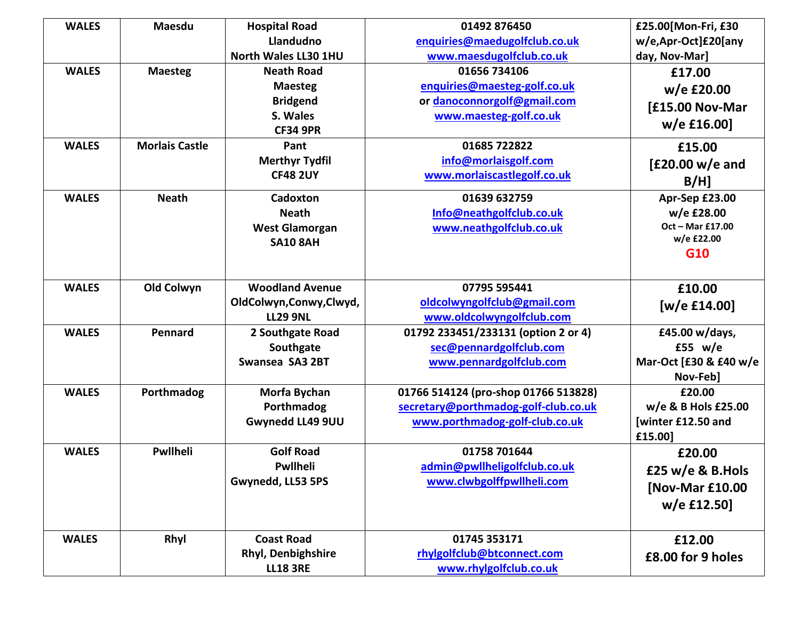| <b>WALES</b> | <b>Maesdu</b>         | <b>Hospital Road</b>        | 01492 876450                         | £25.00[Mon-Fri, £30    |
|--------------|-----------------------|-----------------------------|--------------------------------------|------------------------|
|              |                       | Llandudno                   | enquiries@maedugolfclub.co.uk        | w/e,Apr-Oct]£20[any    |
|              |                       | <b>North Wales LL30 1HU</b> | www.maesdugolfclub.co.uk             | day, Nov-Mar]          |
| <b>WALES</b> | <b>Maesteg</b>        | <b>Neath Road</b>           | 01656 734106                         | £17.00                 |
|              |                       | <b>Maesteg</b>              | enquiries@maesteg-golf.co.uk         | w/e £20.00             |
|              |                       | <b>Bridgend</b>             | or danoconnorgolf@gmail.com          | [£15.00 Nov-Mar        |
|              |                       | S. Wales                    | www.maesteg-golf.co.uk               | $w/e$ £16.00]          |
|              |                       | <b>CF34 9PR</b>             |                                      |                        |
| <b>WALES</b> | <b>Morlais Castle</b> | Pant                        | 01685 722822                         | £15.00                 |
|              |                       | <b>Merthyr Tydfil</b>       | info@morlaisgolf.com                 | $[£20.00 w/e$ and      |
|              |                       | <b>CF48 2UY</b>             | www.morlaiscastlegolf.co.uk          | $B/H$ ]                |
| <b>WALES</b> | <b>Neath</b>          | Cadoxton                    | 01639 632759                         | Apr-Sep £23.00         |
|              |                       | <b>Neath</b>                | Info@neathgolfclub.co.uk             | w/e £28.00             |
|              |                       | <b>West Glamorgan</b>       | www.neathgolfclub.co.uk              | Oct - Mar £17.00       |
|              |                       | <b>SA10 8AH</b>             |                                      | w/e £22.00             |
|              |                       |                             |                                      | G10                    |
|              |                       |                             |                                      |                        |
| <b>WALES</b> | Old Colwyn            | <b>Woodland Avenue</b>      | 07795 595441                         | £10.00                 |
|              |                       | OldColwyn,Conwy,Clwyd,      | oldcolwyngolfclub@gmail.com          | [w/e £14.00]           |
|              |                       | <b>LL29 9NL</b>             | www.oldcolwyngolfclub.com            |                        |
| <b>WALES</b> | Pennard               | 2 Southgate Road            | 01792 233451/233131 (option 2 or 4)  | £45.00 w/days,         |
|              |                       | Southgate                   | sec@pennardgolfclub.com              | £55 $w/e$              |
|              |                       | Swansea SA3 2BT             | www.pennardgolfclub.com              | Mar-Oct [£30 & £40 w/e |
|              |                       |                             |                                      | Nov-Feb]               |
| <b>WALES</b> | Porthmadog            | Morfa Bychan                | 01766 514124 (pro-shop 01766 513828) | £20.00                 |
|              |                       | Porthmadog                  | secretary@porthmadog-golf-club.co.uk | w/e & B Hols £25.00    |
|              |                       | Gwynedd LL49 9UU            | www.porthmadog-golf-club.co.uk       | [winter £12.50 and     |
|              |                       |                             |                                      | £15.00]                |
| <b>WALES</b> | Pwllheli              | <b>Golf Road</b>            | 01758 701644                         | £20.00                 |
|              |                       | <b>Pwllheli</b>             | admin@pwllheligolfclub.co.uk         | £25 w/e & B. Hols      |
|              |                       | Gwynedd, LL53 5PS           | www.clwbgolffpwllheli.com            | [Nov-Mar £10.00        |
|              |                       |                             |                                      | w/e £12.50]            |
|              |                       |                             |                                      |                        |
| <b>WALES</b> | Rhyl                  | <b>Coast Road</b>           | 01745 353171                         |                        |
|              |                       | <b>Rhyl, Denbighshire</b>   | rhylgolfclub@btconnect.com           | £12.00                 |
|              |                       | <b>LL18 3RE</b>             | www.rhylgolfclub.co.uk               | £8.00 for 9 holes      |
|              |                       |                             |                                      |                        |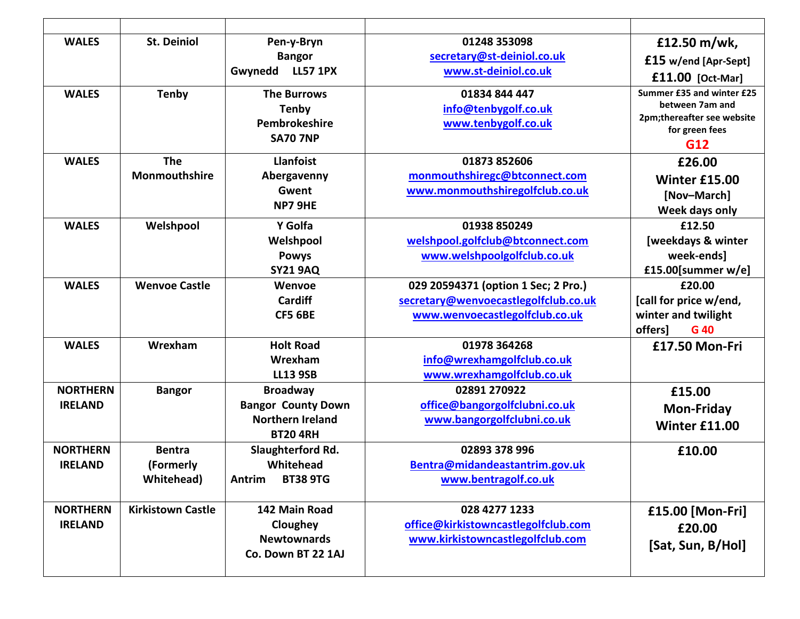| <b>WALES</b>                      | <b>St. Deiniol</b>                               | Pen-y-Bryn<br><b>Bangor</b><br>Gwynedd<br><b>LL57 1PX</b>                                  | 01248 353098<br>secretary@st-deiniol.co.uk<br>www.st-deiniol.co.uk                                            | £12.50 m/wk,<br>£15 w/end [Apr-Sept]<br>£11.00 [Oct-Mar]                                            |
|-----------------------------------|--------------------------------------------------|--------------------------------------------------------------------------------------------|---------------------------------------------------------------------------------------------------------------|-----------------------------------------------------------------------------------------------------|
| <b>WALES</b>                      | <b>Tenby</b>                                     | <b>The Burrows</b><br><b>Tenby</b><br>Pembrokeshire<br><b>SA70 7NP</b>                     | 01834 844 447<br>info@tenbygolf.co.uk<br>www.tenbygolf.co.uk                                                  | Summer £35 and winter £25<br>between 7am and<br>2pm;thereafter see website<br>for green fees<br>G12 |
| <b>WALES</b>                      | <b>The</b><br>Monmouthshire                      | <b>Llanfoist</b><br>Abergavenny<br>Gwent<br>NP7 9HE                                        | 01873 852606<br>monmouthshiregc@btconnect.com<br>www.monmouthshiregolfclub.co.uk                              | £26.00<br><b>Winter £15.00</b><br>[Nov-March]<br>Week days only                                     |
| <b>WALES</b>                      | Welshpool                                        | Y Golfa<br>Welshpool<br><b>Powys</b><br><b>SY21 9AQ</b>                                    | 01938 850249<br>welshpool.golfclub@btconnect.com<br>www.welshpoolgolfclub.co.uk                               | £12.50<br>[weekdays & winter<br>week-ends]<br>£15.00[summer w/e]                                    |
| <b>WALES</b>                      | <b>Wenvoe Castle</b>                             | Wenvoe<br>Cardiff<br><b>CF5 6BE</b>                                                        | 029 20594371 (option 1 Sec; 2 Pro.)<br>secretary@wenvoecastlegolfclub.co.uk<br>www.wenvoecastlegolfclub.co.uk | £20.00<br>[call for price w/end,<br>winter and twilight<br>offers]<br>G 40                          |
| <b>WALES</b>                      | Wrexham                                          | <b>Holt Road</b><br>Wrexham<br><b>LL13 9SB</b>                                             | 01978 364268<br>info@wrexhamgolfclub.co.uk<br>www.wrexhamgolfclub.co.uk                                       | £17.50 Mon-Fri                                                                                      |
| <b>NORTHERN</b><br><b>IRELAND</b> | <b>Bangor</b>                                    | <b>Broadway</b><br><b>Bangor County Down</b><br><b>Northern Ireland</b><br><b>BT20 4RH</b> | 02891 270922<br>office@bangorgolfclubni.co.uk<br>www.bangorgolfclubni.co.uk                                   | £15.00<br><b>Mon-Friday</b><br><b>Winter £11.00</b>                                                 |
| <b>NORTHERN</b><br><b>IRELAND</b> | <b>Bentra</b><br>(Formerly<br><b>Whitehead</b> ) | Slaughterford Rd.<br>Whitehead<br>Antrim<br><b>BT38 9TG</b>                                | 02893 378 996<br>Bentra@midandeastantrim.gov.uk<br>www.bentragolf.co.uk                                       | £10.00                                                                                              |
| <b>NORTHERN</b><br><b>IRELAND</b> | <b>Kirkistown Castle</b>                         | 142 Main Road<br>Cloughey<br><b>Newtownards</b><br>Co. Down BT 22 1AJ                      | 028 4277 1233<br>office@kirkistowncastlegolfclub.com<br>www.kirkistowncastlegolfclub.com                      | £15.00 [Mon-Fri]<br>£20.00<br>[Sat, Sun, B/Hol]                                                     |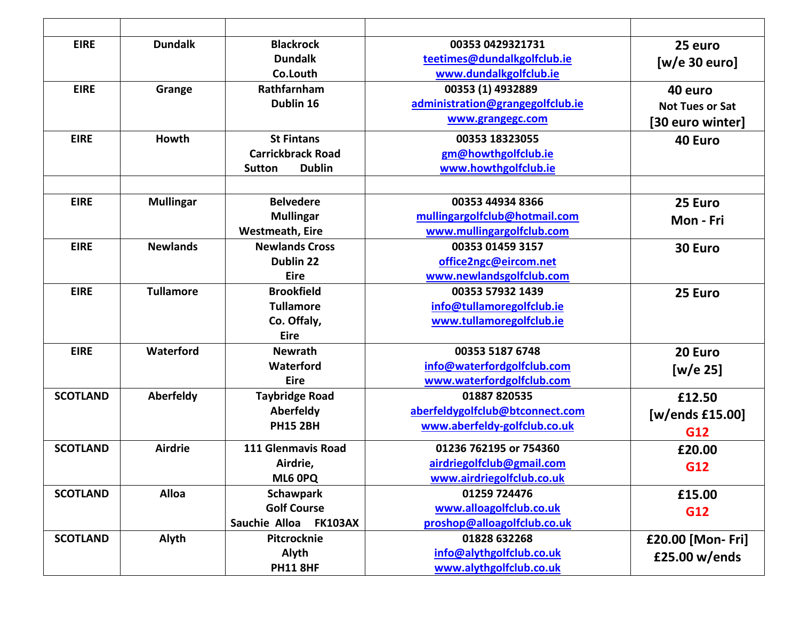| <b>EIRE</b>     | <b>Dundalk</b>   | <b>Blackrock</b>                | 00353 0429321731                 | 25 euro                |
|-----------------|------------------|---------------------------------|----------------------------------|------------------------|
|                 |                  | <b>Dundalk</b>                  | teetimes@dundalkgolfclub.ie      | [w/e 30 euro]          |
|                 |                  | Co.Louth                        | www.dundalkgolfclub.ie           |                        |
| <b>EIRE</b>     | Grange           | Rathfarnham                     | 00353 (1) 4932889                | 40 euro                |
|                 |                  | Dublin 16                       | administration@grangegolfclub.ie | <b>Not Tues or Sat</b> |
|                 |                  |                                 | www.grangegc.com                 | [30 euro winter]       |
| <b>EIRE</b>     | Howth            | <b>St Fintans</b>               | 00353 18323055                   | 40 Euro                |
|                 |                  | <b>Carrickbrack Road</b>        | gm@howthgolfclub.ie              |                        |
|                 |                  | <b>Dublin</b><br><b>Sutton</b>  | www.howthgolfclub.ie             |                        |
|                 |                  |                                 |                                  |                        |
| <b>EIRE</b>     | <b>Mullingar</b> | <b>Belvedere</b>                | 00353 44934 8366                 | 25 Euro                |
|                 |                  | <b>Mullingar</b>                | mullingargolfclub@hotmail.com    | Mon - Fri              |
|                 |                  | <b>Westmeath, Eire</b>          | www.mullingargolfclub.com        |                        |
| <b>EIRE</b>     | <b>Newlands</b>  | <b>Newlands Cross</b>           | 00353 01459 3157                 | 30 Euro                |
|                 |                  | Dublin 22                       | office2ngc@eircom.net            |                        |
|                 |                  | <b>Eire</b>                     | www.newlandsgolfclub.com         |                        |
| <b>EIRE</b>     | <b>Tullamore</b> | <b>Brookfield</b>               | 00353 57932 1439                 | 25 Euro                |
|                 |                  | <b>Tullamore</b>                | info@tullamoregolfclub.ie        |                        |
|                 |                  | Co. Offaly,                     | www.tullamoregolfclub.ie         |                        |
|                 |                  | <b>Eire</b>                     |                                  |                        |
| <b>EIRE</b>     | Waterford        | <b>Newrath</b>                  | 00353 5187 6748                  | 20 Euro                |
|                 |                  | Waterford                       | info@waterfordgolfclub.com       | [ $w/e$ 25]            |
|                 |                  | <b>Eire</b>                     | www.waterfordgolfclub.com        |                        |
| <b>SCOTLAND</b> | Aberfeldy        | <b>Taybridge Road</b>           | 01887 820535                     | £12.50                 |
|                 |                  | Aberfeldy                       | aberfeldygolfclub@btconnect.com  | [w/ends f15.00]        |
|                 |                  | <b>PH15 2BH</b>                 | www.aberfeldy-golfclub.co.uk     | G12                    |
| <b>SCOTLAND</b> | <b>Airdrie</b>   | 111 Glenmavis Road              | 01236 762195 or 754360           | £20.00                 |
|                 |                  | Airdrie,                        | airdriegolfclub@gmail.com        | G12                    |
|                 |                  | ML6 0PQ                         | www.airdriegolfclub.co.uk        |                        |
| <b>SCOTLAND</b> | <b>Alloa</b>     | <b>Schawpark</b>                | 01259 724476                     | £15.00                 |
|                 |                  | <b>Golf Course</b>              | www.alloagolfclub.co.uk          | G12                    |
|                 |                  | Sauchie Alloa<br><b>FK103AX</b> | proshop@alloagolfclub.co.uk      |                        |
| <b>SCOTLAND</b> | Alyth            | Pitcrocknie                     | 01828 632268                     | £20.00 [Mon-Fri]       |
|                 |                  | Alyth                           | info@alythgolfclub.co.uk         | £25.00 w/ends          |
|                 |                  | <b>PH11 8HF</b>                 | www.alythgolfclub.co.uk          |                        |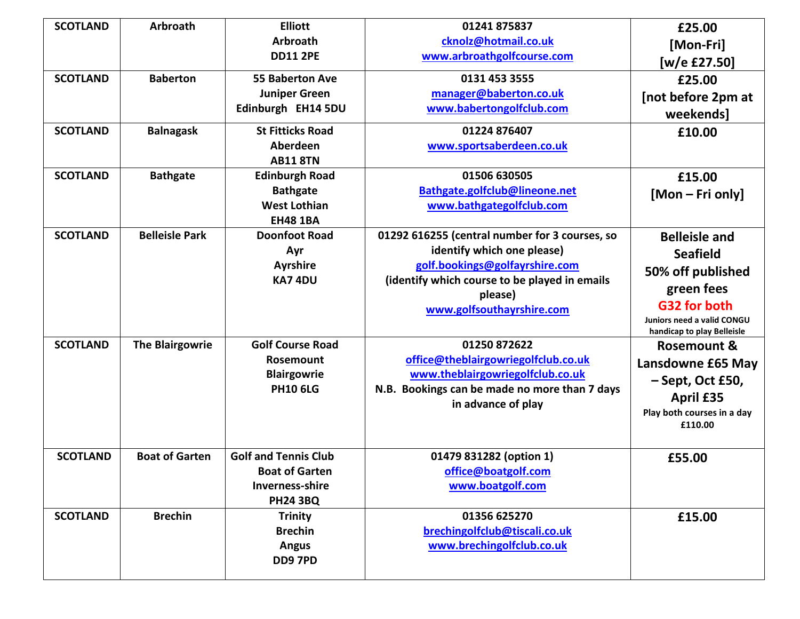| <b>SCOTLAND</b> | <b>Arbroath</b>        | <b>Elliott</b>              | 01241 875837                                   | £25.00                     |
|-----------------|------------------------|-----------------------------|------------------------------------------------|----------------------------|
|                 |                        | Arbroath                    | cknolz@hotmail.co.uk                           | [Mon-Fri]                  |
|                 |                        | <b>DD11 2PE</b>             | www.arbroathgolfcourse.com                     | [w/e £27.50]               |
| <b>SCOTLAND</b> | <b>Baberton</b>        | <b>55 Baberton Ave</b>      | 0131 453 3555                                  | £25.00                     |
|                 |                        | <b>Juniper Green</b>        | manager@baberton.co.uk                         | [not before 2pm at         |
|                 |                        | Edinburgh EH14 5DU          | www.babertongolfclub.com                       | weekends]                  |
| <b>SCOTLAND</b> | <b>Balnagask</b>       | <b>St Fitticks Road</b>     | 01224 876407                                   | £10.00                     |
|                 |                        | Aberdeen                    | www.sportsaberdeen.co.uk                       |                            |
|                 |                        | <b>AB11 8TN</b>             |                                                |                            |
| <b>SCOTLAND</b> | <b>Bathgate</b>        | <b>Edinburgh Road</b>       | 01506 630505                                   | £15.00                     |
|                 |                        | <b>Bathgate</b>             | Bathgate.golfclub@lineone.net                  | [Mon – Fri only]           |
|                 |                        | <b>West Lothian</b>         | www.bathgategolfclub.com                       |                            |
|                 |                        | <b>EH48 1BA</b>             |                                                |                            |
| <b>SCOTLAND</b> | <b>Belleisle Park</b>  | <b>Doonfoot Road</b>        | 01292 616255 (central number for 3 courses, so | <b>Belleisle and</b>       |
|                 |                        | Ayr                         | identify which one please)                     | <b>Seafield</b>            |
|                 |                        | <b>Ayrshire</b>             | golf.bookings@golfayrshire.com                 | 50% off published          |
|                 |                        | KA74DU                      | (identify which course to be played in emails  | green fees                 |
|                 |                        |                             | please)                                        | G32 for both               |
|                 |                        |                             | www.golfsouthayrshire.com                      | Juniors need a valid CONGU |
|                 |                        |                             |                                                | handicap to play Belleisle |
| <b>SCOTLAND</b> | <b>The Blairgowrie</b> | <b>Golf Course Road</b>     | 01250 872622                                   | <b>Rosemount &amp;</b>     |
|                 |                        | Rosemount                   | office@theblairgowriegolfclub.co.uk            | Lansdowne £65 May          |
|                 |                        | <b>Blairgowrie</b>          | www.theblairgowriegolfclub.co.uk               | $-$ Sept, Oct £50,         |
|                 |                        | <b>PH10 6LG</b>             | N.B. Bookings can be made no more than 7 days  | <b>April £35</b>           |
|                 |                        |                             | in advance of play                             | Play both courses in a day |
|                 |                        |                             |                                                | £110.00                    |
|                 |                        |                             |                                                |                            |
| <b>SCOTLAND</b> | <b>Boat of Garten</b>  | <b>Golf and Tennis Club</b> | 01479 831282 (option 1)                        | £55.00                     |
|                 |                        | <b>Boat of Garten</b>       | office@boatgolf.com                            |                            |
|                 |                        | <b>Inverness-shire</b>      | www.boatgolf.com                               |                            |
|                 |                        | <b>PH24 3BQ</b>             |                                                |                            |
| <b>SCOTLAND</b> | <b>Brechin</b>         | <b>Trinity</b>              | 01356 625270                                   | £15.00                     |
|                 |                        | <b>Brechin</b>              | brechingolfclub@tiscali.co.uk                  |                            |
|                 |                        | <b>Angus</b>                | www.brechingolfclub.co.uk                      |                            |
|                 |                        | DD97PD                      |                                                |                            |
|                 |                        |                             |                                                |                            |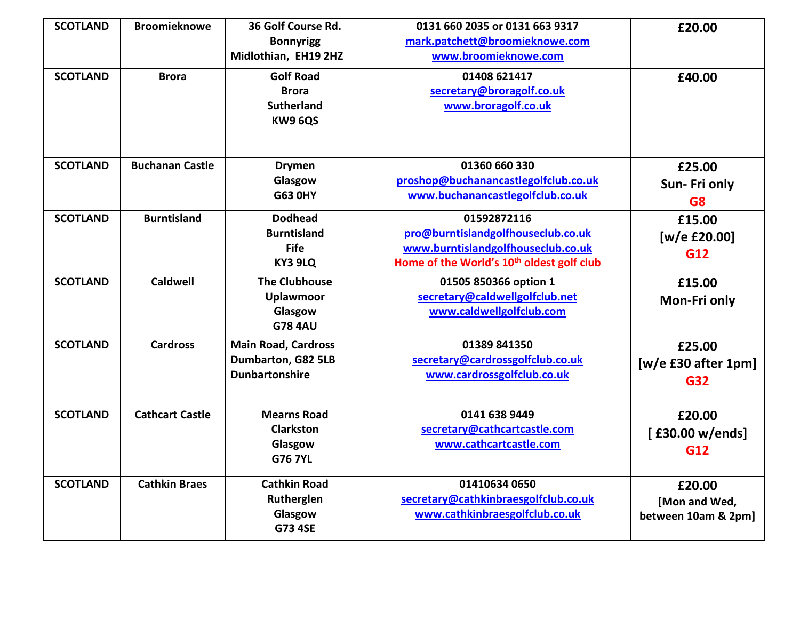| <b>SCOTLAND</b> | <b>Broomieknowe</b>    | 36 Golf Course Rd.<br><b>Bonnyrigg</b><br>Midlothian, EH19 2HZ            | 0131 660 2035 or 0131 663 9317<br>mark.patchett@broomieknowe.com<br>www.broomieknowe.com                                                         | £20.00                                         |
|-----------------|------------------------|---------------------------------------------------------------------------|--------------------------------------------------------------------------------------------------------------------------------------------------|------------------------------------------------|
| <b>SCOTLAND</b> | <b>Brora</b>           | <b>Golf Road</b><br><b>Brora</b><br><b>Sutherland</b><br>KW9 6QS          | 01408 621417<br>secretary@broragolf.co.uk<br>www.broragolf.co.uk                                                                                 | £40.00                                         |
| <b>SCOTLAND</b> | <b>Buchanan Castle</b> | <b>Drymen</b>                                                             | 01360 660 330                                                                                                                                    | £25.00                                         |
|                 |                        | Glasgow<br><b>G63 0HY</b>                                                 | proshop@buchanancastlegolfclub.co.uk<br>www.buchanancastlegolfclub.co.uk                                                                         | Sun-Fri only<br>G <sub>8</sub>                 |
| <b>SCOTLAND</b> | <b>Burntisland</b>     | <b>Dodhead</b><br><b>Burntisland</b><br><b>Fife</b><br>KY3 9LQ            | 01592872116<br>pro@burntislandgolfhouseclub.co.uk<br>www.burntislandgolfhouseclub.co.uk<br>Home of the World's 10 <sup>th</sup> oldest golf club | £15.00<br>[w/e £20.00]<br><b>G12</b>           |
| <b>SCOTLAND</b> | <b>Caldwell</b>        | <b>The Clubhouse</b><br><b>Uplawmoor</b><br>Glasgow<br><b>G78 4AU</b>     | 01505 850366 option 1<br>secretary@caldwellgolfclub.net<br>www.caldwellgolfclub.com                                                              | £15.00<br>Mon-Fri only                         |
| <b>SCOTLAND</b> | <b>Cardross</b>        | <b>Main Road, Cardross</b><br>Dumbarton, G82 5LB<br><b>Dunbartonshire</b> | 01389 841350<br>secretary@cardrossgolfclub.co.uk<br>www.cardrossgolfclub.co.uk                                                                   | £25.00<br>$[w/e$ £30 after 1pm]<br>G32         |
| <b>SCOTLAND</b> | <b>Cathcart Castle</b> | <b>Mearns Road</b><br><b>Clarkston</b><br>Glasgow<br><b>G76 7YL</b>       | 0141 638 9449<br>secretary@cathcartcastle.com<br>www.cathcartcastle.com                                                                          | £20.00<br>[£30.00 w/ends]<br>G12               |
| <b>SCOTLAND</b> | <b>Cathkin Braes</b>   | <b>Cathkin Road</b><br>Rutherglen<br>Glasgow<br><b>G73 4SE</b>            | 01410634 0650<br>secretary@cathkinbraesgolfclub.co.uk<br>www.cathkinbraesgolfclub.co.uk                                                          | £20.00<br>[Mon and Wed,<br>between 10am & 2pm] |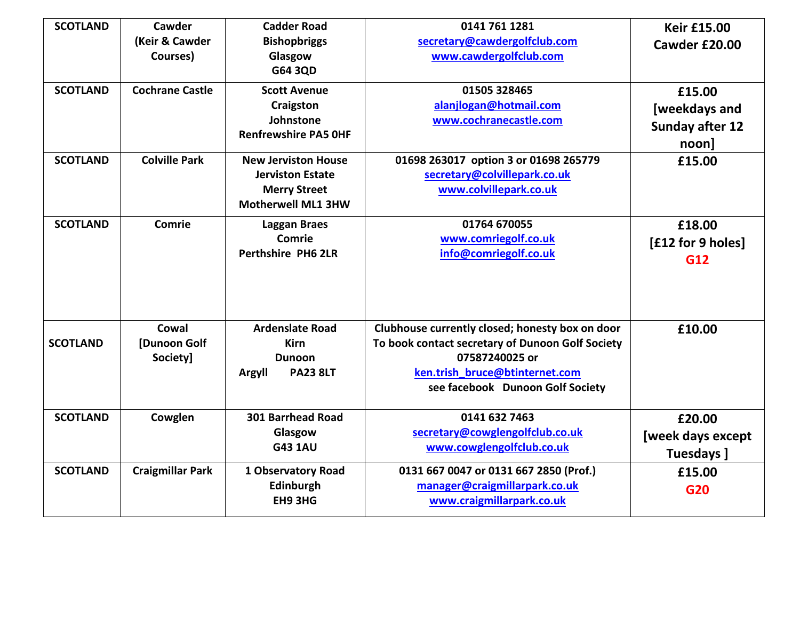| <b>SCOTLAND</b> | Cawder                            | <b>Cadder Road</b>                                                                                        | 0141 761 1281                                                                                                                                                                               | <b>Keir £15.00</b>                                            |
|-----------------|-----------------------------------|-----------------------------------------------------------------------------------------------------------|---------------------------------------------------------------------------------------------------------------------------------------------------------------------------------------------|---------------------------------------------------------------|
|                 | (Keir & Cawder<br>Courses)        | <b>Bishopbriggs</b><br>Glasgow<br>G64 3QD                                                                 | secretary@cawdergolfclub.com<br>www.cawdergolfclub.com                                                                                                                                      | Cawder £20.00                                                 |
| <b>SCOTLAND</b> | <b>Cochrane Castle</b>            | <b>Scott Avenue</b><br>Craigston<br>Johnstone<br><b>Renfrewshire PA5 OHF</b>                              | 01505 328465<br>alanjlogan@hotmail.com<br>www.cochranecastle.com                                                                                                                            | £15.00<br>[weekdays and<br><b>Sunday after 12</b><br>$noon$ ] |
| <b>SCOTLAND</b> | <b>Colville Park</b>              | <b>New Jerviston House</b><br><b>Jerviston Estate</b><br><b>Merry Street</b><br><b>Motherwell ML1 3HW</b> | 01698 263017 option 3 or 01698 265779<br>secretary@colvillepark.co.uk<br>www.colvillepark.co.uk                                                                                             | £15.00                                                        |
| <b>SCOTLAND</b> | Comrie                            | <b>Laggan Braes</b><br>Comrie<br><b>Perthshire PH6 2LR</b>                                                | 01764 670055<br>www.comriegolf.co.uk<br>info@comriegolf.co.uk                                                                                                                               | £18.00<br>[£12 for 9 holes]<br>G12                            |
| <b>SCOTLAND</b> | Cowal<br>[Dunoon Golf<br>Society] | <b>Ardenslate Road</b><br><b>Kirn</b><br><b>Dunoon</b><br><b>PA23 8LT</b><br>Argyll                       | Clubhouse currently closed; honesty box on door<br>To book contact secretary of Dunoon Golf Society<br>07587240025 or<br>ken.trish_bruce@btinternet.com<br>see facebook Dunoon Golf Society | £10.00                                                        |
| <b>SCOTLAND</b> | Cowglen                           | <b>301 Barrhead Road</b><br>Glasgow<br><b>G43 1AU</b>                                                     | 0141 632 7463<br>secretary@cowglengolfclub.co.uk<br>www.cowglengolfclub.co.uk                                                                                                               | £20.00<br>[week days except<br>Tuesdays ]                     |
| <b>SCOTLAND</b> | <b>Craigmillar Park</b>           | 1 Observatory Road<br>Edinburgh<br>EH9 3HG                                                                | 0131 667 0047 or 0131 667 2850 (Prof.)<br>manager@craigmillarpark.co.uk<br>www.craigmillarpark.co.uk                                                                                        | £15.00<br>G20                                                 |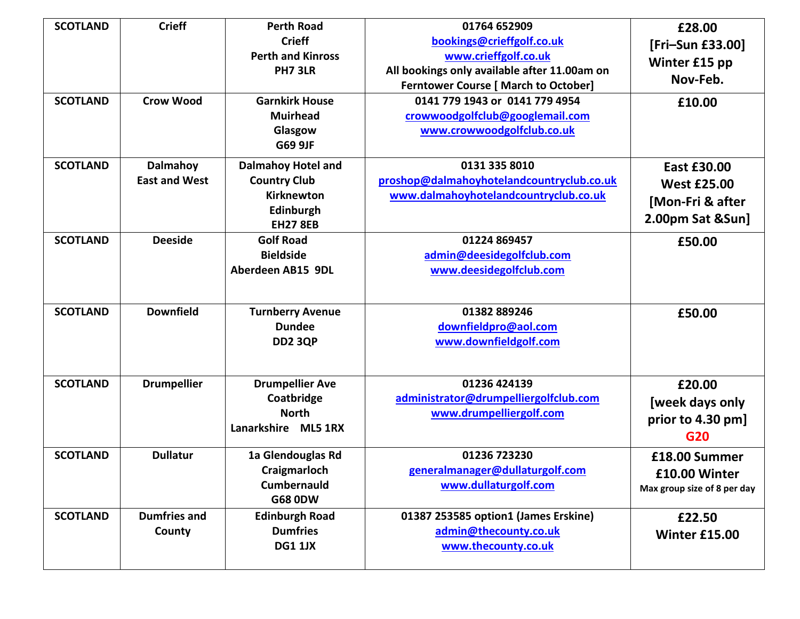| <b>SCOTLAND</b><br><b>SCOTLAND</b> | <b>Crieff</b><br><b>Crow Wood</b>       | <b>Perth Road</b><br><b>Crieff</b><br><b>Perth and Kinross</b><br>PH7 3LR<br><b>Garnkirk House</b><br><b>Muirhead</b> | 01764 652909<br>bookings@crieffgolf.co.uk<br>www.crieffgolf.co.uk<br>All bookings only available after 11.00am on<br><b>Ferntower Course [ March to October]</b><br>0141 779 1943 or 0141 779 4954<br>crowwoodgolfclub@googlemail.com | £28.00<br>[Fri-Sun £33.00]<br>Winter £15 pp<br>Nov-Feb.<br>£10.00                |
|------------------------------------|-----------------------------------------|-----------------------------------------------------------------------------------------------------------------------|---------------------------------------------------------------------------------------------------------------------------------------------------------------------------------------------------------------------------------------|----------------------------------------------------------------------------------|
|                                    |                                         | Glasgow<br>G69 9JF                                                                                                    | www.crowwoodgolfclub.co.uk                                                                                                                                                                                                            |                                                                                  |
| <b>SCOTLAND</b>                    | <b>Dalmahoy</b><br><b>East and West</b> | <b>Dalmahoy Hotel and</b><br><b>Country Club</b><br>Kirknewton<br>Edinburgh<br><b>EH27 8EB</b>                        | 0131 335 8010<br>proshop@dalmahoyhotelandcountryclub.co.uk<br>www.dalmahoyhotelandcountryclub.co.uk                                                                                                                                   | <b>East £30.00</b><br><b>West £25.00</b><br>[Mon-Fri & after<br>2.00pm Sat &Sun] |
| <b>SCOTLAND</b>                    | <b>Deeside</b>                          | <b>Golf Road</b><br><b>Bieldside</b><br>Aberdeen AB15 9DL                                                             | 01224 869457<br>admin@deesidegolfclub.com<br>www.deesidegolfclub.com                                                                                                                                                                  | £50.00                                                                           |
| <b>SCOTLAND</b>                    | <b>Downfield</b>                        | <b>Turnberry Avenue</b><br><b>Dundee</b><br><b>DD2 3QP</b>                                                            | 01382 889246<br>downfieldpro@aol.com<br>www.downfieldgolf.com                                                                                                                                                                         | £50.00                                                                           |
| <b>SCOTLAND</b>                    | <b>Drumpellier</b>                      | <b>Drumpellier Ave</b><br>Coatbridge<br><b>North</b><br>Lanarkshire ML5 1RX                                           | 01236 424139<br>administrator@drumpelliergolfclub.com<br>www.drumpelliergolf.com                                                                                                                                                      | £20.00<br>[week days only<br>prior to 4.30 pm]<br>G20                            |
| <b>SCOTLAND</b>                    | <b>Dullatur</b>                         | 1a Glendouglas Rd<br>Craigmarloch<br><b>Cumbernauld</b><br><b>G68 0DW</b>                                             | 01236 723230<br>generalmanager@dullaturgolf.com<br>www.dullaturgolf.com                                                                                                                                                               | £18.00 Summer<br>£10.00 Winter<br>Max group size of 8 per day                    |
| <b>SCOTLAND</b>                    | <b>Dumfries and</b><br>County           | <b>Edinburgh Road</b><br><b>Dumfries</b><br><b>DG1 1JX</b>                                                            | 01387 253585 option1 (James Erskine)<br>admin@thecounty.co.uk<br>www.thecounty.co.uk                                                                                                                                                  | £22.50<br><b>Winter £15.00</b>                                                   |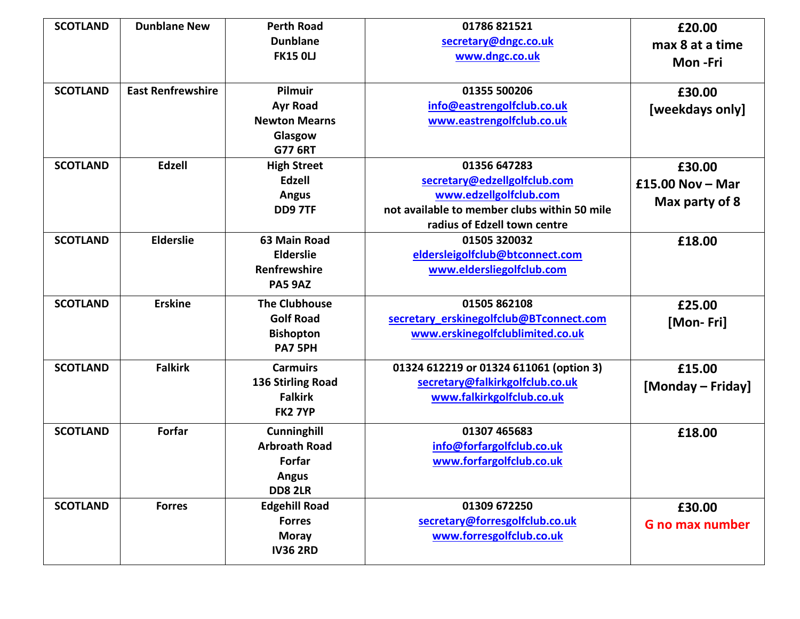| <b>SCOTLAND</b> | <b>Dunblane New</b>      | <b>Perth Road</b>        | 01786 821521                                 | £20.00                 |
|-----------------|--------------------------|--------------------------|----------------------------------------------|------------------------|
|                 |                          | <b>Dunblane</b>          |                                              |                        |
|                 |                          | <b>FK15 OLJ</b>          | secretary@dngc.co.uk                         | max 8 at a time        |
|                 |                          |                          | www.dngc.co.uk                               | Mon-Fri                |
|                 |                          |                          |                                              |                        |
| <b>SCOTLAND</b> | <b>East Renfrewshire</b> | Pilmuir                  | 01355 500206                                 | £30.00                 |
|                 |                          | <b>Ayr Road</b>          | info@eastrengolfclub.co.uk                   | [weekdays only]        |
|                 |                          | <b>Newton Mearns</b>     | www.eastrengolfclub.co.uk                    |                        |
|                 |                          | Glasgow                  |                                              |                        |
|                 |                          | <b>G77 6RT</b>           |                                              |                        |
| <b>SCOTLAND</b> | Edzell                   | <b>High Street</b>       | 01356 647283                                 | £30.00                 |
|                 |                          | <b>Edzell</b>            | secretary@edzellgolfclub.com                 | $£15.00$ Nov - Mar     |
|                 |                          | <b>Angus</b>             | www.edzellgolfclub.com                       | Max party of 8         |
|                 |                          | <b>DD9 7TF</b>           | not available to member clubs within 50 mile |                        |
|                 |                          |                          | radius of Edzell town centre                 |                        |
| <b>SCOTLAND</b> | <b>Elderslie</b>         | 63 Main Road             | 01505 320032                                 | £18.00                 |
|                 |                          | <b>Elderslie</b>         | eldersleigolfclub@btconnect.com              |                        |
|                 |                          | <b>Renfrewshire</b>      | www.eldersliegolfclub.com                    |                        |
|                 |                          | <b>PA5 9AZ</b>           |                                              |                        |
| <b>SCOTLAND</b> | <b>Erskine</b>           | <b>The Clubhouse</b>     | 01505 862108                                 | £25.00                 |
|                 |                          | <b>Golf Road</b>         | secretary erskinegolfclub@BTconnect.com      |                        |
|                 |                          | <b>Bishopton</b>         | www.erskinegolfclublimited.co.uk             | [Mon-Fri]              |
|                 |                          | PA7 5PH                  |                                              |                        |
|                 |                          |                          |                                              |                        |
| <b>SCOTLAND</b> | <b>Falkirk</b>           | <b>Carmuirs</b>          | 01324 612219 or 01324 611061 (option 3)      | £15.00                 |
|                 |                          | <b>136 Stirling Road</b> | secretary@falkirkgolfclub.co.uk              | [Monday – Friday]      |
|                 |                          | <b>Falkirk</b>           | www.falkirkgolfclub.co.uk                    |                        |
|                 |                          | FK2 7YP                  |                                              |                        |
| <b>SCOTLAND</b> | Forfar                   | <b>Cunninghill</b>       | 01307 465683                                 | £18.00                 |
|                 |                          | <b>Arbroath Road</b>     | info@forfargolfclub.co.uk                    |                        |
|                 |                          | Forfar                   | www.forfargolfclub.co.uk                     |                        |
|                 |                          | <b>Angus</b>             |                                              |                        |
|                 |                          | <b>DD8 2LR</b>           |                                              |                        |
| <b>SCOTLAND</b> | <b>Forres</b>            | <b>Edgehill Road</b>     | 01309 672250                                 | £30.00                 |
|                 |                          | <b>Forres</b>            | secretary@forresgolfclub.co.uk               | <b>G</b> no max number |
|                 |                          | <b>Moray</b>             | www.forresgolfclub.co.uk                     |                        |
|                 |                          | <b>IV36 2RD</b>          |                                              |                        |
|                 |                          |                          |                                              |                        |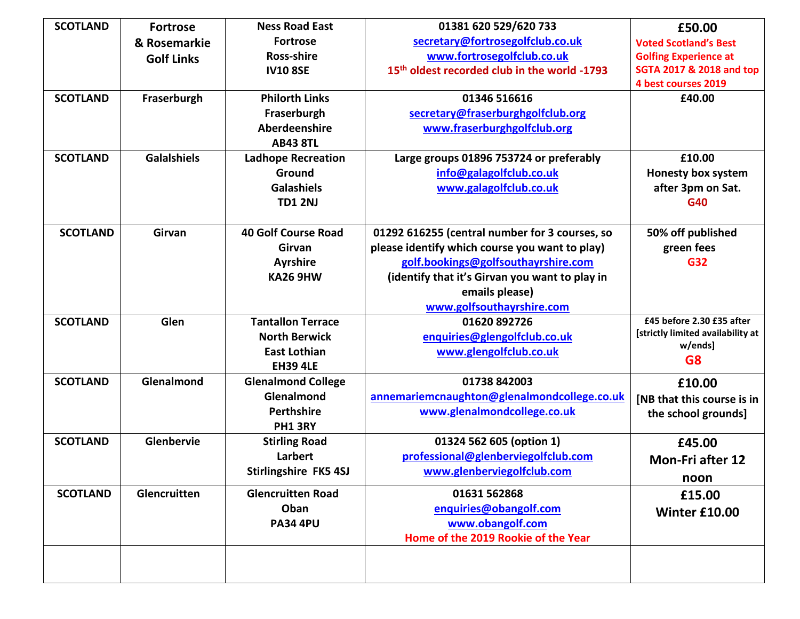| <b>SCOTLAND</b> | <b>Fortrose</b>    | <b>Ness Road East</b>      | 01381 620 529/620 733                                    | £50.00                            |
|-----------------|--------------------|----------------------------|----------------------------------------------------------|-----------------------------------|
|                 | & Rosemarkie       | <b>Fortrose</b>            | secretary@fortrosegolfclub.co.uk                         | <b>Voted Scotland's Best</b>      |
|                 | <b>Golf Links</b>  | <b>Ross-shire</b>          | www.fortrosegolfclub.co.uk                               | <b>Golfing Experience at</b>      |
|                 |                    | <b>IV10 8SE</b>            | 15 <sup>th</sup> oldest recorded club in the world -1793 | SGTA 2017 & 2018 and top          |
|                 |                    |                            |                                                          | 4 best courses 2019               |
| <b>SCOTLAND</b> | Fraserburgh        | <b>Philorth Links</b>      | 01346 516616                                             | £40.00                            |
|                 |                    | Fraserburgh                | secretary@fraserburghgolfclub.org                        |                                   |
|                 |                    | Aberdeenshire              | www.fraserburghgolfclub.org                              |                                   |
|                 |                    | <b>AB43 8TL</b>            |                                                          |                                   |
| <b>SCOTLAND</b> | <b>Galalshiels</b> | <b>Ladhope Recreation</b>  | Large groups 01896 753724 or preferably                  | £10.00                            |
|                 |                    | Ground                     | info@galagolfclub.co.uk                                  | <b>Honesty box system</b>         |
|                 |                    | <b>Galashiels</b>          | www.galagolfclub.co.uk                                   | after 3pm on Sat.                 |
|                 |                    | <b>TD1 2NJ</b>             |                                                          | G40                               |
|                 |                    |                            |                                                          |                                   |
| <b>SCOTLAND</b> | Girvan             | <b>40 Golf Course Road</b> | 01292 616255 (central number for 3 courses, so           | 50% off published                 |
|                 |                    | Girvan                     | please identify which course you want to play)           | green fees                        |
|                 |                    | <b>Ayrshire</b>            | golf.bookings@golfsouthayrshire.com                      | G32                               |
|                 |                    | <b>KA26 9HW</b>            | (identify that it's Girvan you want to play in           |                                   |
|                 |                    |                            | emails please)                                           |                                   |
|                 |                    |                            | www.golfsouthayrshire.com                                |                                   |
| <b>SCOTLAND</b> | Glen               | <b>Tantallon Terrace</b>   | 01620 892726                                             | £45 before 2.30 £35 after         |
|                 |                    | <b>North Berwick</b>       | enquiries@glengolfclub.co.uk                             | [strictly limited availability at |
|                 |                    | <b>East Lothian</b>        | www.glengolfclub.co.uk                                   | w/ends]                           |
|                 |                    | <b>EH39 4LE</b>            |                                                          | G <sub>8</sub>                    |
| <b>SCOTLAND</b> | Glenalmond         | <b>Glenalmond College</b>  | 01738 842003                                             | £10.00                            |
|                 |                    | Glenalmond                 | annemariemcnaughton@glenalmondcollege.co.uk              | [NB that this course is in        |
|                 |                    | <b>Perthshire</b>          | www.glenalmondcollege.co.uk                              | the school grounds]               |
|                 |                    | PH1 3RY                    |                                                          |                                   |
| <b>SCOTLAND</b> | Glenbervie         | <b>Stirling Road</b>       | 01324 562 605 (option 1)                                 | £45.00                            |
|                 |                    | Larbert                    | professional@glenberviegolfclub.com                      | <b>Mon-Fri after 12</b>           |
|                 |                    | Stirlingshire FK5 4SJ      | www.glenberviegolfclub.com                               | noon                              |
| <b>SCOTLAND</b> | Glencruitten       | <b>Glencruitten Road</b>   | 01631 562868                                             |                                   |
|                 |                    | Oban                       |                                                          | £15.00                            |
|                 |                    | <b>PA34 4PU</b>            | enquiries@obangolf.com<br>www.obangolf.com               | Winter £10.00                     |
|                 |                    |                            | Home of the 2019 Rookie of the Year                      |                                   |
|                 |                    |                            |                                                          |                                   |
|                 |                    |                            |                                                          |                                   |
|                 |                    |                            |                                                          |                                   |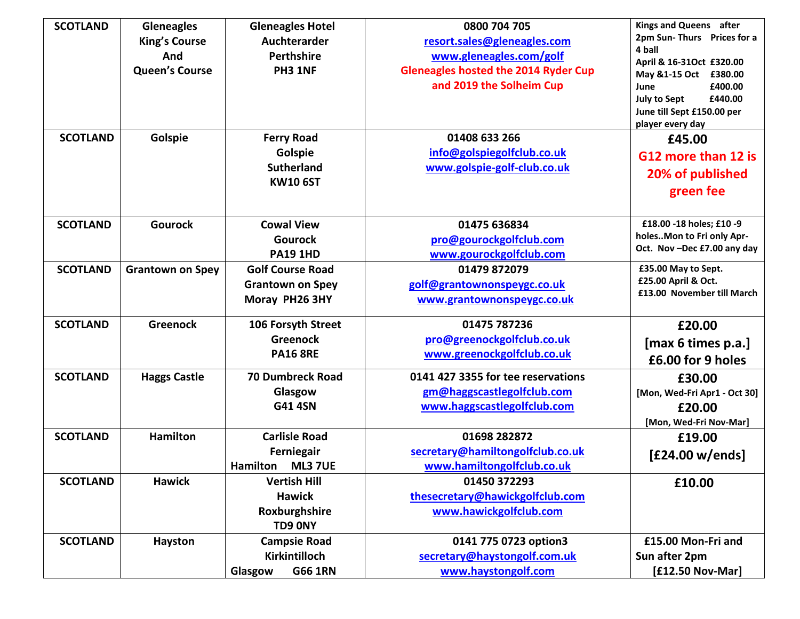| <b>SCOTLAND</b> | <b>Gleneagles</b><br><b>King's Course</b><br>And<br><b>Queen's Course</b> | <b>Gleneagles Hotel</b><br>Auchterarder<br>Perthshire<br>PH3 1NF     | 0800 704 705<br>resort.sales@gleneagles.com<br>www.gleneagles.com/golf<br><b>Gleneagles hosted the 2014 Ryder Cup</b><br>and 2019 the Solheim Cup | Kings and Queens after<br>2pm Sun-Thurs Prices for a<br>4 ball<br>April & 16-31Oct £320.00<br>May &1-15 Oct £380.00<br>£400.00<br>June<br><b>July to Sept</b><br>£440.00 |
|-----------------|---------------------------------------------------------------------------|----------------------------------------------------------------------|---------------------------------------------------------------------------------------------------------------------------------------------------|--------------------------------------------------------------------------------------------------------------------------------------------------------------------------|
| <b>SCOTLAND</b> | Golspie                                                                   | <b>Ferry Road</b><br>Golspie                                         | 01408 633 266<br>info@golspiegolfclub.co.uk                                                                                                       | June till Sept £150.00 per<br>player every day<br>£45.00<br>G12 more than 12 is                                                                                          |
|                 |                                                                           | <b>Sutherland</b><br><b>KW10 6ST</b>                                 | www.golspie-golf-club.co.uk                                                                                                                       | 20% of published<br>green fee                                                                                                                                            |
| <b>SCOTLAND</b> | <b>Gourock</b>                                                            | <b>Cowal View</b><br><b>Gourock</b><br><b>PA19 1HD</b>               | 01475 636834<br>pro@gourockgolfclub.com<br>www.gourockgolfclub.com                                                                                | £18.00 -18 holes; £10 -9<br>holesMon to Fri only Apr-<br>Oct. Nov-Dec £7.00 any day                                                                                      |
| <b>SCOTLAND</b> | <b>Grantown on Spey</b>                                                   | <b>Golf Course Road</b><br><b>Grantown on Spey</b><br>Moray PH26 3HY | 01479 872079<br>golf@grantownonspeygc.co.uk<br>www.grantownonspeygc.co.uk                                                                         | £35.00 May to Sept.<br>£25.00 April & Oct.<br>£13.00 November till March                                                                                                 |
| <b>SCOTLAND</b> | <b>Greenock</b>                                                           | 106 Forsyth Street<br><b>Greenock</b><br><b>PA16 8RE</b>             | 01475 787236<br>pro@greenockgolfclub.co.uk<br>www.greenockgolfclub.co.uk                                                                          | £20.00<br>[max 6 times p.a.]<br>£6.00 for 9 holes                                                                                                                        |
| <b>SCOTLAND</b> | <b>Haggs Castle</b>                                                       | <b>70 Dumbreck Road</b><br>Glasgow<br><b>G41 4SN</b>                 | 0141 427 3355 for tee reservations<br>gm@haggscastlegolfclub.com<br>www.haggscastlegolfclub.com                                                   | £30.00<br>[Mon, Wed-Fri Apr1 - Oct 30]<br>£20.00<br>[Mon, Wed-Fri Nov-Mar]                                                                                               |
| <b>SCOTLAND</b> | <b>Hamilton</b>                                                           | <b>Carlisle Road</b><br>Ferniegair<br>Hamilton<br><b>ML3 7UE</b>     | 01698 282872<br>secretary@hamiltongolfclub.co.uk<br>www.hamiltongolfclub.co.uk                                                                    | £19.00<br>[£24.00 w/ends]                                                                                                                                                |
| <b>SCOTLAND</b> | <b>Hawick</b>                                                             | <b>Vertish Hill</b><br><b>Hawick</b><br>Roxburghshire<br>TD9 0NY     | 01450 372293<br>thesecretary@hawickgolfclub.com<br>www.hawickgolfclub.com                                                                         | £10.00                                                                                                                                                                   |
| <b>SCOTLAND</b> | Hayston                                                                   | <b>Campsie Road</b><br>Kirkintilloch<br><b>G66 1RN</b><br>Glasgow    | 0141 775 0723 option3<br>secretary@haystongolf.com.uk<br>www.haystongolf.com                                                                      | £15.00 Mon-Fri and<br>Sun after 2pm<br>[£12.50 Nov-Mar]                                                                                                                  |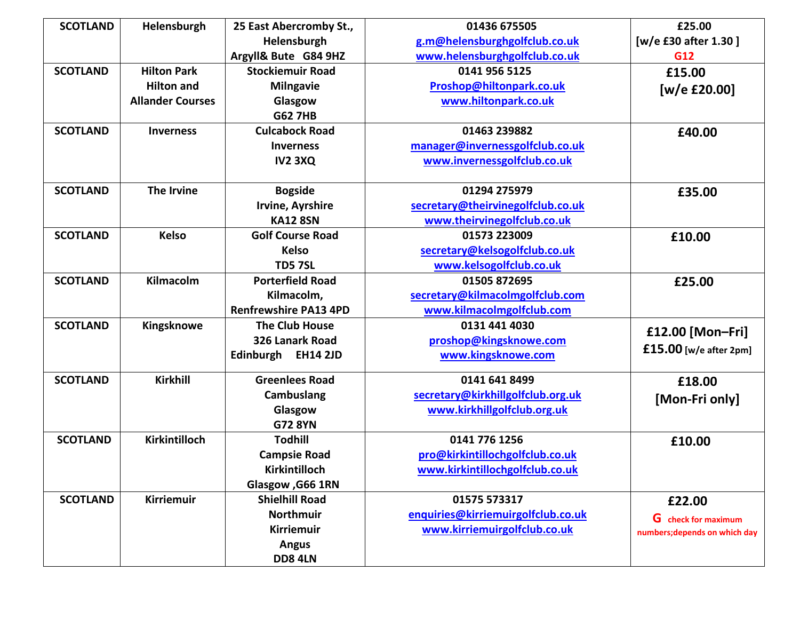| <b>SCOTLAND</b> | Helensburgh             | 25 East Abercromby St.,      | 01436 675505                       | £25.00                        |
|-----------------|-------------------------|------------------------------|------------------------------------|-------------------------------|
|                 |                         | Helensburgh                  | g.m@helensburghgolfclub.co.uk      | [w/e £30 after 1.30]          |
|                 |                         | Argyll& Bute G84 9HZ         | www.helensburghgolfclub.co.uk      | G12                           |
| <b>SCOTLAND</b> | <b>Hilton Park</b>      | <b>Stockiemuir Road</b>      | 0141 956 5125                      | £15.00                        |
|                 | <b>Hilton and</b>       | <b>Milngavie</b>             | Proshop@hiltonpark.co.uk           | [w/e £20.00]                  |
|                 | <b>Allander Courses</b> | Glasgow                      | www.hiltonpark.co.uk               |                               |
|                 |                         | <b>G62 7HB</b>               |                                    |                               |
| <b>SCOTLAND</b> | <b>Inverness</b>        | <b>Culcabock Road</b>        | 01463 239882                       | £40.00                        |
|                 |                         | <b>Inverness</b>             | manager@invernessgolfclub.co.uk    |                               |
|                 |                         | <b>IV2 3XQ</b>               | www.invernessgolfclub.co.uk        |                               |
|                 |                         |                              |                                    |                               |
| <b>SCOTLAND</b> | The Irvine              | <b>Bogside</b>               | 01294 275979                       | £35.00                        |
|                 |                         | Irvine, Ayrshire             | secretary@theirvinegolfclub.co.uk  |                               |
|                 |                         | <b>KA12 8SN</b>              | www.theirvinegolfclub.co.uk        |                               |
| <b>SCOTLAND</b> | <b>Kelso</b>            | <b>Golf Course Road</b>      | 01573 223009                       | £10.00                        |
|                 |                         | <b>Kelso</b>                 | secretary@kelsogolfclub.co.uk      |                               |
|                 |                         | <b>TD5 7SL</b>               | www.kelsogolfclub.co.uk            |                               |
| <b>SCOTLAND</b> | Kilmacolm               | <b>Porterfield Road</b>      | 01505 872695                       | £25.00                        |
|                 |                         | Kilmacolm,                   | secretary@kilmacolmgolfclub.com    |                               |
|                 |                         | <b>Renfrewshire PA13 4PD</b> | www.kilmacolmgolfclub.com          |                               |
| <b>SCOTLAND</b> | Kingsknowe              | <b>The Club House</b>        | 0131 441 4030                      | £12.00 [Mon-Fri]              |
|                 |                         | 326 Lanark Road              | proshop@kingsknowe.com             |                               |
|                 |                         | Edinburgh EH14 2JD           | www.kingsknowe.com                 | $£15.00$ [w/e after 2pm]      |
| <b>SCOTLAND</b> | <b>Kirkhill</b>         | <b>Greenlees Road</b>        | 0141 641 8499                      | £18.00                        |
|                 |                         | Cambuslang                   | secretary@kirkhillgolfclub.org.uk  | [Mon-Fri only]                |
|                 |                         | Glasgow                      | www.kirkhillgolfclub.org.uk        |                               |
|                 |                         | <b>G72 8YN</b>               |                                    |                               |
| <b>SCOTLAND</b> | Kirkintilloch           | <b>Todhill</b>               | 0141 776 1256                      | £10.00                        |
|                 |                         | <b>Campsie Road</b>          | pro@kirkintillochgolfclub.co.uk    |                               |
|                 |                         | Kirkintilloch                | www.kirkintillochgolfclub.co.uk    |                               |
|                 |                         | Glasgow, G66 1RN             |                                    |                               |
| <b>SCOTLAND</b> | <b>Kirriemuir</b>       | <b>Shielhill Road</b>        | 01575 573317                       | £22.00                        |
|                 |                         | <b>Northmuir</b>             | enquiries@kirriemuirgolfclub.co.uk | <b>G</b> check for maximum    |
|                 |                         | <b>Kirriemuir</b>            | www.kirriemuirgolfclub.co.uk       | numbers; depends on which day |
|                 |                         | <b>Angus</b>                 |                                    |                               |
|                 |                         | <b>DD8 4LN</b>               |                                    |                               |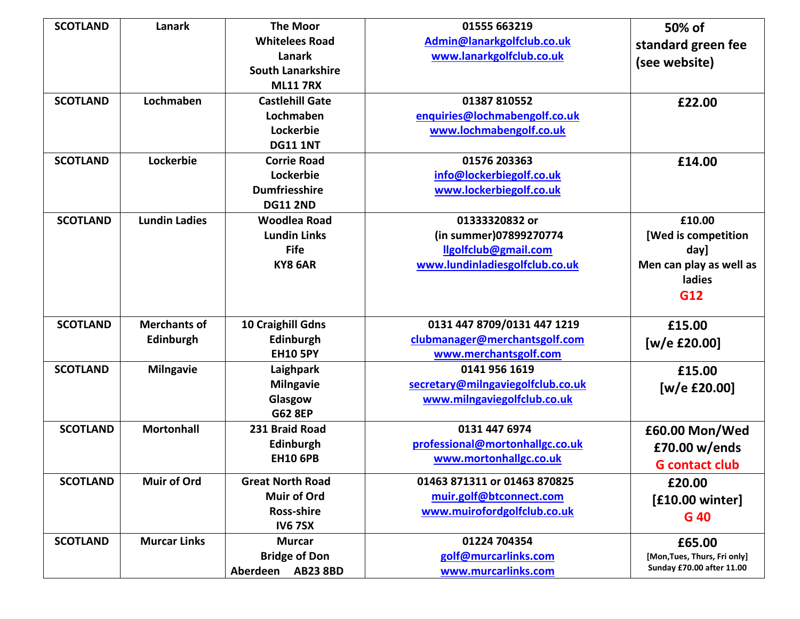| <b>SCOTLAND</b> | Lanark               | <b>The Moor</b>             | 01555 663219                      | 50% of                            |
|-----------------|----------------------|-----------------------------|-----------------------------------|-----------------------------------|
|                 |                      | <b>Whitelees Road</b>       | Admin@lanarkgolfclub.co.uk        | standard green fee                |
|                 |                      | Lanark                      | www.lanarkgolfclub.co.uk          | (see website)                     |
|                 |                      | <b>South Lanarkshire</b>    |                                   |                                   |
|                 |                      | <b>ML11 7RX</b>             |                                   |                                   |
| <b>SCOTLAND</b> | Lochmaben            | <b>Castlehill Gate</b>      | 01387 810552                      | £22.00                            |
|                 |                      | Lochmaben                   | enquiries@lochmabengolf.co.uk     |                                   |
|                 |                      | Lockerbie                   | www.lochmabengolf.co.uk           |                                   |
|                 |                      | <b>DG11 1NT</b>             |                                   |                                   |
| <b>SCOTLAND</b> | Lockerbie            | <b>Corrie Road</b>          | 01576 203363                      | £14.00                            |
|                 |                      | Lockerbie                   | info@lockerbiegolf.co.uk          |                                   |
|                 |                      | <b>Dumfriesshire</b>        | www.lockerbiegolf.co.uk           |                                   |
|                 |                      | <b>DG11 2ND</b>             |                                   |                                   |
| <b>SCOTLAND</b> | <b>Lundin Ladies</b> | <b>Woodlea Road</b>         | 01333320832 or                    | £10.00                            |
|                 |                      | <b>Lundin Links</b>         | (in summer)07899270774            | [Wed is competition               |
|                 |                      | <b>Fife</b>                 | llgolfclub@gmail.com              | day]                              |
|                 |                      | KY8 6AR                     | www.lundinladiesgolfclub.co.uk    | Men can play as well as<br>ladies |
|                 |                      |                             |                                   | G12                               |
|                 |                      |                             |                                   |                                   |
| <b>SCOTLAND</b> | <b>Merchants of</b>  | 10 Craighill Gdns           | 0131 447 8709/0131 447 1219       | £15.00                            |
|                 | Edinburgh            | Edinburgh                   | clubmanager@merchantsgolf.com     | [w/e £20.00]                      |
|                 |                      | <b>EH10 5PY</b>             | www.merchantsgolf.com             |                                   |
| <b>SCOTLAND</b> | <b>Milngavie</b>     | Laighpark                   | 0141 956 1619                     | £15.00                            |
|                 |                      | <b>Milngavie</b>            | secretary@milngaviegolfclub.co.uk | [w/e $£20.00]$                    |
|                 |                      | Glasgow                     | www.milngaviegolfclub.co.uk       |                                   |
|                 |                      | <b>G62 8EP</b>              |                                   |                                   |
| <b>SCOTLAND</b> | <b>Mortonhall</b>    | 231 Braid Road              | 0131 447 6974                     | £60.00 Mon/Wed                    |
|                 |                      | Edinburgh                   | professional@mortonhallgc.co.uk   | £70.00 w/ends                     |
|                 |                      | <b>EH10 6PB</b>             | www.mortonhallgc.co.uk            | <b>G</b> contact club             |
| <b>SCOTLAND</b> | <b>Muir of Ord</b>   | <b>Great North Road</b>     | 01463 871311 or 01463 870825      | £20.00                            |
|                 |                      | <b>Muir of Ord</b>          | muir.golf@btconnect.com           | $[£10.00$ winter]                 |
|                 |                      | <b>Ross-shire</b>           | www.muirofordgolfclub.co.uk       | G 40                              |
|                 |                      | <b>IV6 7SX</b>              |                                   |                                   |
| <b>SCOTLAND</b> | <b>Murcar Links</b>  | <b>Murcar</b>               | 01224 704354                      | £65.00                            |
|                 |                      | <b>Bridge of Don</b>        | golf@murcarlinks.com              | [Mon, Tues, Thurs, Fri only]      |
|                 |                      | Aberdeen<br><b>AB23 8BD</b> | www.murcarlinks.com               | Sunday £70.00 after 11.00         |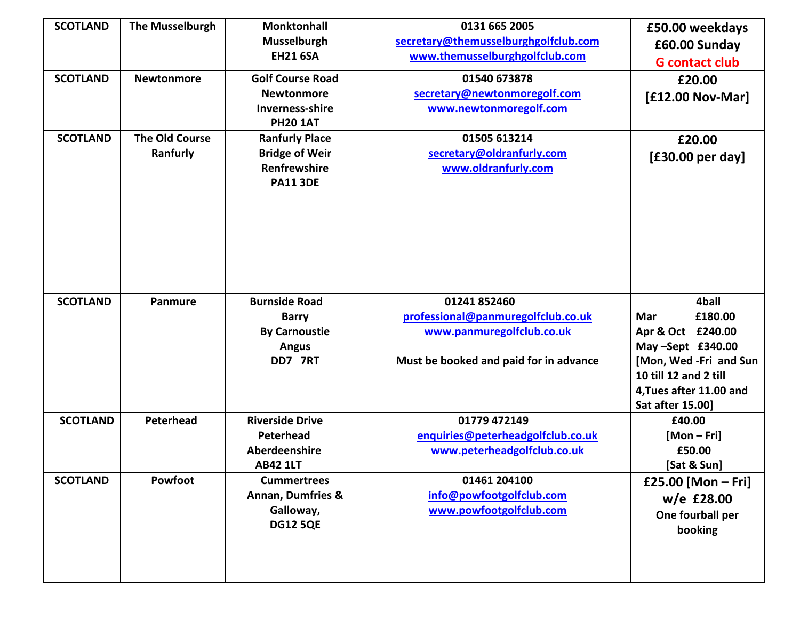| <b>SCOTLAND</b><br><b>SCOTLAND</b><br><b>SCOTLAND</b> | <b>The Musselburgh</b><br><b>Newtonmore</b><br><b>The Old Course</b><br>Ranfurly | <b>Monktonhall</b><br><b>Musselburgh</b><br><b>EH21 6SA</b><br><b>Golf Course Road</b><br><b>Newtonmore</b><br>Inverness-shire<br><b>PH20 1AT</b><br><b>Ranfurly Place</b><br><b>Bridge of Weir</b><br>Renfrewshire | 0131 665 2005<br>secretary@themusselburghgolfclub.com<br>www.themusselburghgolfclub.com<br>01540 673878<br>secretary@newtonmoregolf.com<br>www.newtonmoregolf.com<br>01505 613214<br>secretary@oldranfurly.com<br>www.oldranfurly.com | £50.00 weekdays<br>£60.00 Sunday<br><b>G</b> contact club<br>£20.00<br>[£12.00 Nov-Mar]<br>£20.00<br>[£30.00 per day]             |
|-------------------------------------------------------|----------------------------------------------------------------------------------|---------------------------------------------------------------------------------------------------------------------------------------------------------------------------------------------------------------------|---------------------------------------------------------------------------------------------------------------------------------------------------------------------------------------------------------------------------------------|-----------------------------------------------------------------------------------------------------------------------------------|
| <b>SCOTLAND</b>                                       | Panmure                                                                          | <b>PA11 3DE</b><br><b>Burnside Road</b><br><b>Barry</b><br><b>By Carnoustie</b><br><b>Angus</b><br>DD7 7RT                                                                                                          | 01241 852460<br>professional@panmuregolfclub.co.uk<br>www.panmuregolfclub.co.uk                                                                                                                                                       | 4ball<br>£180.00<br>Mar<br>Apr & Oct £240.00<br>May-Sept £340.00                                                                  |
| <b>SCOTLAND</b>                                       | Peterhead                                                                        | <b>Riverside Drive</b><br>Peterhead<br>Aberdeenshire                                                                                                                                                                | Must be booked and paid for in advance<br>01779 472149<br>enquiries@peterheadgolfclub.co.uk<br>www.peterheadgolfclub.co.uk                                                                                                            | [Mon, Wed -Fri and Sun<br>10 till 12 and 2 till<br>4, Tues after 11.00 and<br>Sat after 15.00]<br>£40.00<br>$[Mon-Fri]$<br>£50.00 |
| <b>SCOTLAND</b>                                       | Powfoot                                                                          | <b>AB42 1LT</b><br><b>Cummertrees</b><br><b>Annan, Dumfries &amp;</b><br>Galloway,<br><b>DG12 5QE</b>                                                                                                               | 01461 204100<br>info@powfootgolfclub.com<br>www.powfootgolfclub.com                                                                                                                                                                   | [Sat & Sun]<br>£25.00 [Mon - Fri]<br>w/e £28.00<br>One fourball per<br>booking                                                    |
|                                                       |                                                                                  |                                                                                                                                                                                                                     |                                                                                                                                                                                                                                       |                                                                                                                                   |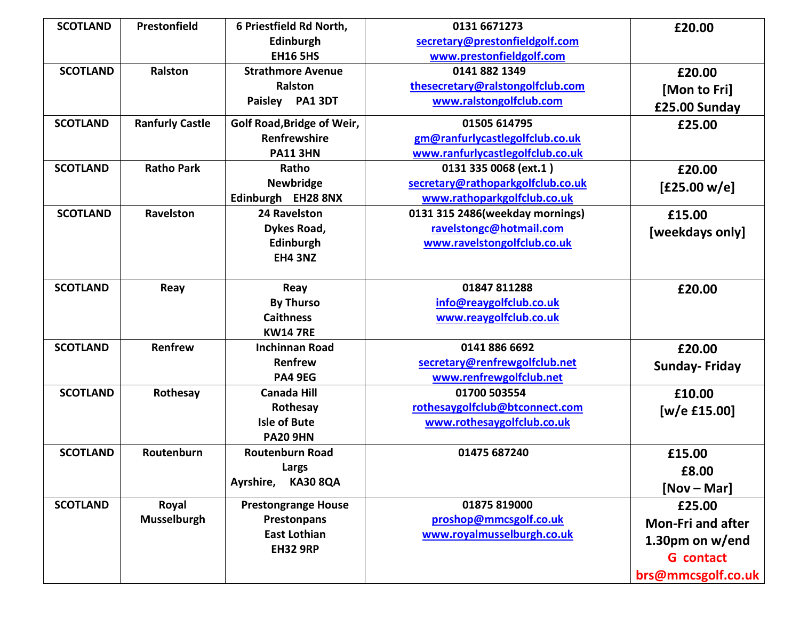| <b>SCOTLAND</b> | Prestonfield           | 6 Priestfield Rd North,      | 0131 6671273                      | £20.00                   |
|-----------------|------------------------|------------------------------|-----------------------------------|--------------------------|
|                 |                        | Edinburgh                    | secretary@prestonfieldgolf.com    |                          |
|                 |                        | <b>EH16 5HS</b>              | www.prestonfieldgolf.com          |                          |
| <b>SCOTLAND</b> | <b>Ralston</b>         | <b>Strathmore Avenue</b>     | 0141 882 1349                     | £20.00                   |
|                 |                        | Ralston                      | thesecretary@ralstongolfclub.com  | [Mon to Fri]             |
|                 |                        | Paisley PA1 3DT              | www.ralstongolfclub.com           | £25.00 Sunday            |
| <b>SCOTLAND</b> | <b>Ranfurly Castle</b> | Golf Road, Bridge of Weir,   | 01505 614795                      | £25.00                   |
|                 |                        | Renfrewshire                 | gm@ranfurlycastlegolfclub.co.uk   |                          |
|                 |                        | <b>PA11 3HN</b>              | www.ranfurlycastlegolfclub.co.uk  |                          |
| <b>SCOTLAND</b> | <b>Ratho Park</b>      | Ratho                        | 0131 335 0068 (ext.1)             | £20.00                   |
|                 |                        | <b>Newbridge</b>             | secretary@rathoparkgolfclub.co.uk | [£25.00 w/e]             |
|                 |                        | Edinburgh EH28 8NX           | www.rathoparkgolfclub.co.uk       |                          |
| <b>SCOTLAND</b> | Ravelston              | 24 Ravelston                 | 0131 315 2486(weekday mornings)   | £15.00                   |
|                 |                        | Dykes Road,                  | ravelstongc@hotmail.com           | [weekdays only]          |
|                 |                        | Edinburgh                    | www.ravelstongolfclub.co.uk       |                          |
|                 |                        | <b>EH4 3NZ</b>               |                                   |                          |
|                 |                        |                              |                                   |                          |
| <b>SCOTLAND</b> | Reay                   | Reay                         | 01847 811288                      | £20.00                   |
|                 |                        | <b>By Thurso</b>             | info@reaygolfclub.co.uk           |                          |
|                 |                        | <b>Caithness</b>             | www.reaygolfclub.co.uk            |                          |
|                 |                        | <b>KW14 7RE</b>              |                                   |                          |
| <b>SCOTLAND</b> | Renfrew                | <b>Inchinnan Road</b>        | 0141 886 6692                     | £20.00                   |
|                 |                        | Renfrew                      | secretary@renfrewgolfclub.net     | <b>Sunday-Friday</b>     |
|                 |                        | <b>PA4 9EG</b>               | www.renfrewgolfclub.net           |                          |
| <b>SCOTLAND</b> | Rothesay               | <b>Canada Hill</b>           | 01700 503554                      | £10.00                   |
|                 |                        | Rothesay                     | rothesaygolfclub@btconnect.com    | $[w/e$ £15.00]           |
|                 |                        | <b>Isle of Bute</b>          | www.rothesaygolfclub.co.uk        |                          |
|                 |                        | <b>PA20 9HN</b>              |                                   |                          |
| <b>SCOTLAND</b> | Routenburn             | <b>Routenburn Road</b>       | 01475 687240                      | £15.00                   |
|                 |                        | Largs                        |                                   | £8.00                    |
|                 |                        | Ayrshire,<br><b>KA30 8QA</b> |                                   | $[Nov - Mar]$            |
| <b>SCOTLAND</b> | Royal                  | <b>Prestongrange House</b>   | 01875 819000                      | £25.00                   |
|                 | Musselburgh            | Prestonpans                  | proshop@mmcsgolf.co.uk            | <b>Mon-Fri and after</b> |
|                 |                        | <b>East Lothian</b>          | www.royalmusselburgh.co.uk        | 1.30pm on w/end          |
|                 |                        | <b>EH32 9RP</b>              |                                   | <b>G</b> contact         |
|                 |                        |                              |                                   |                          |
|                 |                        |                              |                                   | brs@mmcsgolf.co.uk       |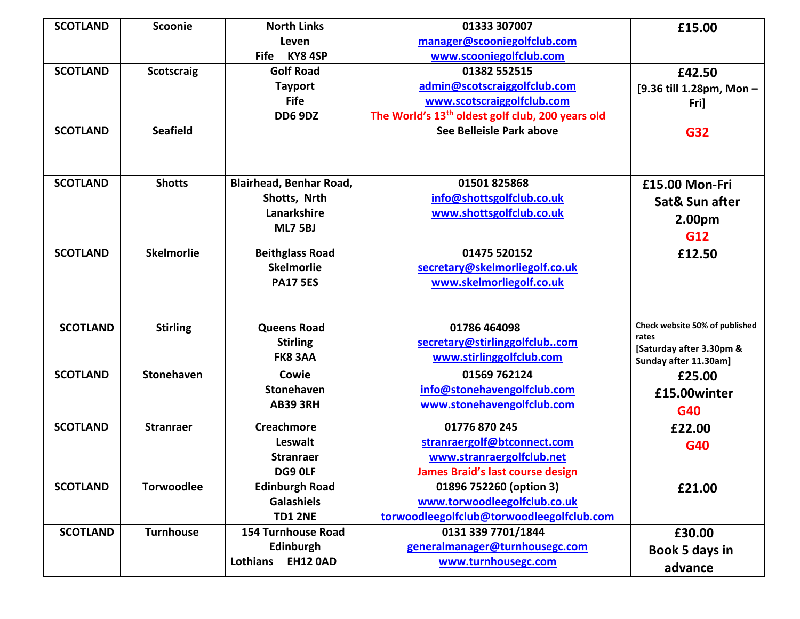| <b>SCOTLAND</b> | Scoonie           | <b>North Links</b>             | 01333 307007                                                 | £15.00                            |
|-----------------|-------------------|--------------------------------|--------------------------------------------------------------|-----------------------------------|
|                 |                   | Leven                          | manager@scooniegolfclub.com                                  |                                   |
|                 |                   | KY84SP<br><b>Fife</b>          | www.scooniegolfclub.com                                      |                                   |
| <b>SCOTLAND</b> | <b>Scotscraig</b> | <b>Golf Road</b>               | 01382 552515                                                 | £42.50                            |
|                 |                   | <b>Tayport</b>                 | admin@scotscraiggolfclub.com                                 | [9.36 till 1.28pm, Mon-           |
|                 |                   | <b>Fife</b>                    | www.scotscraiggolfclub.com                                   | Fri]                              |
|                 |                   | <b>DD6 9DZ</b>                 | The World's 13 <sup>th</sup> oldest golf club, 200 years old |                                   |
| <b>SCOTLAND</b> | <b>Seafield</b>   |                                | See Belleisle Park above                                     | <b>G32</b>                        |
|                 |                   |                                |                                                              |                                   |
|                 |                   |                                |                                                              |                                   |
| <b>SCOTLAND</b> | <b>Shotts</b>     | <b>Blairhead, Benhar Road,</b> | 01501825868                                                  | £15.00 Mon-Fri                    |
|                 |                   | Shotts, Nrth                   | info@shottsgolfclub.co.uk                                    | Sat& Sun after                    |
|                 |                   | Lanarkshire                    | www.shottsgolfclub.co.uk                                     | 2.00pm                            |
|                 |                   | <b>ML7 5BJ</b>                 |                                                              | G12                               |
| <b>SCOTLAND</b> | <b>Skelmorlie</b> | <b>Beithglass Road</b>         | 01475 520152                                                 | £12.50                            |
|                 |                   | <b>Skelmorlie</b>              | secretary@skelmorliegolf.co.uk                               |                                   |
|                 |                   | <b>PA17 5ES</b>                | www.skelmorliegolf.co.uk                                     |                                   |
|                 |                   |                                |                                                              |                                   |
|                 |                   |                                |                                                              |                                   |
| <b>SCOTLAND</b> | <b>Stirling</b>   | <b>Queens Road</b>             | 01786 464098                                                 | Check website 50% of published    |
|                 |                   | <b>Stirling</b>                | secretary@stirlinggolfclubcom                                | rates<br>[Saturday after 3.30pm & |
|                 |                   | FK8 3AA                        | www.stirlinggolfclub.com                                     | Sunday after 11.30am]             |
| <b>SCOTLAND</b> | Stonehaven        | Cowie                          | 01569 762124                                                 | £25.00                            |
|                 |                   | <b>Stonehaven</b>              | info@stonehavengolfclub.com                                  | £15.00winter                      |
|                 |                   | <b>AB39 3RH</b>                | www.stonehavengolfclub.com                                   | G40                               |
| <b>SCOTLAND</b> | <b>Stranraer</b>  | <b>Creachmore</b>              | 01776 870 245                                                | £22.00                            |
|                 |                   | Leswalt                        | stranraergolf@btconnect.com                                  | G40                               |
|                 |                   | <b>Stranraer</b>               | www.stranraergolfclub.net                                    |                                   |
|                 |                   | DG9 OLF                        | <b>James Braid's last course design</b>                      |                                   |
| <b>SCOTLAND</b> | <b>Torwoodlee</b> | <b>Edinburgh Road</b>          | 01896 752260 (option 3)                                      | £21.00                            |
|                 |                   | <b>Galashiels</b>              | www.torwoodleegolfclub.co.uk                                 |                                   |
|                 |                   | <b>TD1 2NE</b>                 | torwoodleegolfclub@torwoodleegolfclub.com                    |                                   |
| <b>SCOTLAND</b> | <b>Turnhouse</b>  | <b>154 Turnhouse Road</b>      | 0131 339 7701/1844                                           | £30.00                            |
|                 |                   | Edinburgh                      | generalmanager@turnhousegc.com                               | Book 5 days in                    |
|                 |                   | <b>EH12 0AD</b><br>Lothians    | www.turnhousegc.com                                          | advance                           |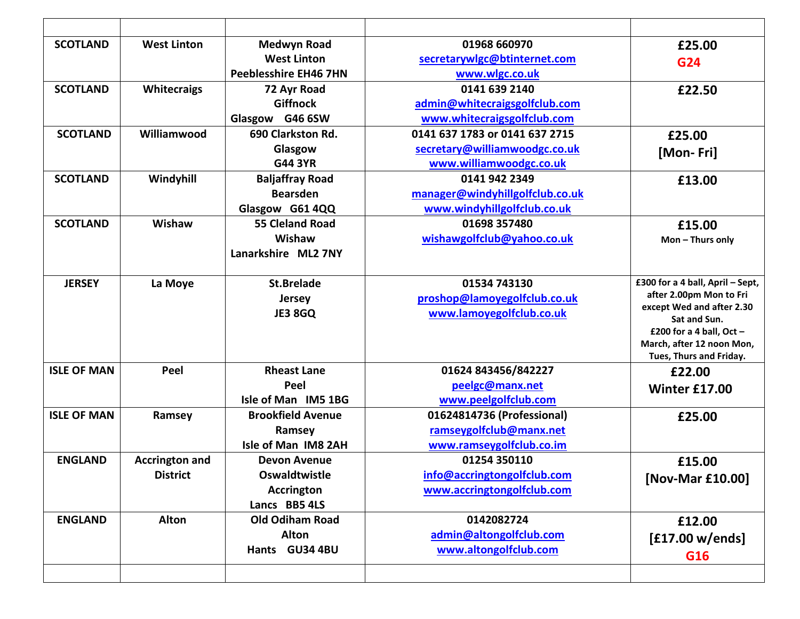| <b>SCOTLAND</b>    | <b>West Linton</b>    | <b>Medwyn Road</b>           | 01968 660970                    | £25.00                                     |
|--------------------|-----------------------|------------------------------|---------------------------------|--------------------------------------------|
|                    |                       | <b>West Linton</b>           | secretarywlgc@btinternet.com    | G24                                        |
|                    |                       | <b>Peeblesshire EH46 7HN</b> | www.wlgc.co.uk                  |                                            |
| <b>SCOTLAND</b>    | <b>Whitecraigs</b>    | 72 Ayr Road                  | 0141 639 2140                   | £22.50                                     |
|                    |                       | <b>Giffnock</b>              | admin@whitecraigsgolfclub.com   |                                            |
|                    |                       | Glasgow G46 6SW              | www.whitecraigsgolfclub.com     |                                            |
| <b>SCOTLAND</b>    | Williamwood           | 690 Clarkston Rd.            | 0141 637 1783 or 0141 637 2715  | £25.00                                     |
|                    |                       | Glasgow                      | secretary@williamwoodgc.co.uk   | [Mon-Fri]                                  |
|                    |                       | <b>G44 3YR</b>               | www.williamwoodgc.co.uk         |                                            |
| <b>SCOTLAND</b>    | Windyhill             | <b>Baljaffray Road</b>       | 0141 942 2349                   | £13.00                                     |
|                    |                       | <b>Bearsden</b>              | manager@windyhillgolfclub.co.uk |                                            |
|                    |                       | Glasgow G61 4QQ              | www.windyhillgolfclub.co.uk     |                                            |
| <b>SCOTLAND</b>    | Wishaw                | <b>55 Cleland Road</b>       | 01698 357480                    | £15.00                                     |
|                    |                       | Wishaw                       | wishawgolfclub@yahoo.co.uk      | Mon-Thurs only                             |
|                    |                       | Lanarkshire ML2 7NY          |                                 |                                            |
| <b>JERSEY</b>      | La Moye               | <b>St.Brelade</b>            | 01534 743130                    | £300 for a 4 ball, April - Sept,           |
|                    |                       | <b>Jersey</b>                | proshop@lamoyegolfclub.co.uk    | after 2.00pm Mon to Fri                    |
|                    |                       | <b>JE3 8GQ</b>               | www.lamoyegolfclub.co.uk        | except Wed and after 2.30                  |
|                    |                       |                              |                                 | Sat and Sun.<br>£200 for a 4 ball, Oct $-$ |
|                    |                       |                              |                                 | March, after 12 noon Mon,                  |
|                    |                       |                              |                                 | Tues, Thurs and Friday.                    |
| <b>ISLE OF MAN</b> | Peel                  | <b>Rheast Lane</b>           | 01624 843456/842227             | £22.00                                     |
|                    |                       | Peel                         | peelgc@manx.net                 | Winter £17.00                              |
|                    |                       | Isle of Man IM5 1BG          | www.peelgolfclub.com            |                                            |
| <b>ISLE OF MAN</b> | Ramsey                | <b>Brookfield Avenue</b>     | 01624814736 (Professional)      | £25.00                                     |
|                    |                       | Ramsey                       | ramseygolfclub@manx.net         |                                            |
|                    |                       | Isle of Man IM8 2AH          | www.ramseygolfclub.co.im        |                                            |
| <b>ENGLAND</b>     | <b>Accrington and</b> | <b>Devon Avenue</b>          | 01254 350110                    | £15.00                                     |
|                    | <b>District</b>       | Oswaldtwistle                | info@accringtongolfclub.com     | [Nov-Mar £10.00]                           |
|                    |                       | <b>Accrington</b>            | www.accringtongolfclub.com      |                                            |
|                    |                       | Lancs BB5 4LS                |                                 |                                            |
| <b>ENGLAND</b>     | <b>Alton</b>          | <b>Old Odiham Road</b>       | 0142082724                      | £12.00                                     |
|                    |                       | <b>Alton</b>                 | admin@altongolfclub.com         | [£17.00 w/ends]                            |
|                    |                       | Hants GU34 4BU               | www.altongolfclub.com           | G16                                        |
|                    |                       |                              |                                 |                                            |
|                    |                       |                              |                                 |                                            |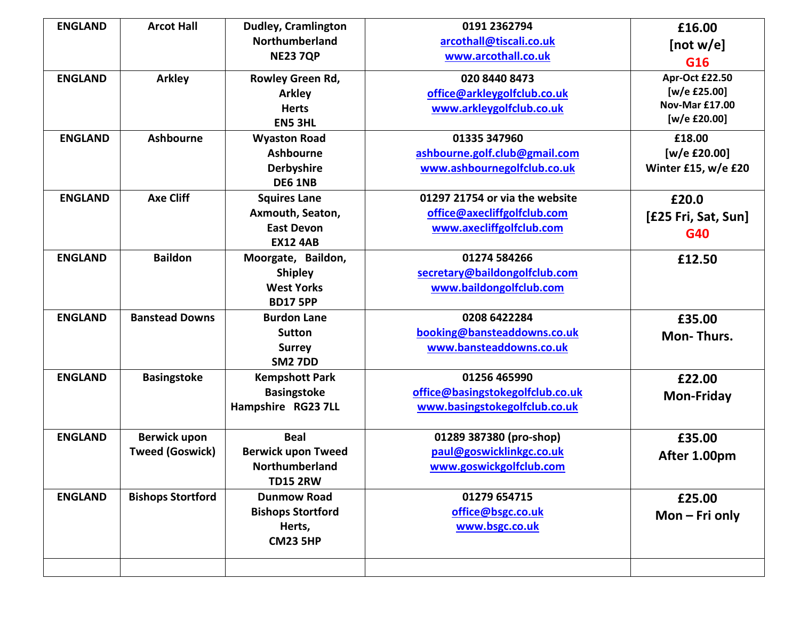| <b>ENGLAND</b> | <b>Arcot Hall</b>                             | <b>Dudley, Cramlington</b>                                                      | 0191 2362794                                                                              | £16.00                                                                  |
|----------------|-----------------------------------------------|---------------------------------------------------------------------------------|-------------------------------------------------------------------------------------------|-------------------------------------------------------------------------|
|                |                                               | Northumberland                                                                  | arcothall@tiscali.co.uk                                                                   | [not w/e]                                                               |
|                |                                               | <b>NE23 7QP</b>                                                                 | www.arcothall.co.uk                                                                       | G16                                                                     |
| <b>ENGLAND</b> | <b>Arkley</b>                                 | Rowley Green Rd,<br><b>Arkley</b><br><b>Herts</b><br><b>EN5 3HL</b>             | 020 8440 8473<br>office@arkleygolfclub.co.uk<br>www.arkleygolfclub.co.uk                  | Apr-Oct £22.50<br>[w/e £25.00]<br><b>Nov-Mar £17.00</b><br>[w/e £20.00] |
| <b>ENGLAND</b> | <b>Ashbourne</b>                              | <b>Wyaston Road</b><br><b>Ashbourne</b><br><b>Derbyshire</b><br><b>DE6 1NB</b>  | 01335 347960<br>ashbourne.golf.club@gmail.com<br>www.ashbournegolfclub.co.uk              | £18.00<br>[w/e £20.00]<br>Winter £15, w/e £20                           |
| <b>ENGLAND</b> | <b>Axe Cliff</b>                              | <b>Squires Lane</b><br>Axmouth, Seaton,<br><b>East Devon</b><br><b>EX12 4AB</b> | 01297 21754 or via the website<br>office@axecliffgolfclub.com<br>www.axecliffgolfclub.com | £20.0<br>[£25 Fri, Sat, Sun]<br>G40                                     |
| <b>ENGLAND</b> | <b>Baildon</b>                                | Moorgate, Baildon,<br><b>Shipley</b><br><b>West Yorks</b><br><b>BD17 5PP</b>    | 01274 584266<br>secretary@baildongolfclub.com<br>www.baildongolfclub.com                  | £12.50                                                                  |
| <b>ENGLAND</b> | <b>Banstead Downs</b>                         | <b>Burdon Lane</b><br><b>Sutton</b><br><b>Surrey</b><br><b>SM2 7DD</b>          | 0208 6422284<br>booking@bansteaddowns.co.uk<br>www.bansteaddowns.co.uk                    | £35.00<br><b>Mon-Thurs.</b>                                             |
| <b>ENGLAND</b> | <b>Basingstoke</b>                            | <b>Kempshott Park</b><br><b>Basingstoke</b><br>Hampshire RG23 7LL               | 01256 465990<br>office@basingstokegolfclub.co.uk<br>www.basingstokegolfclub.co.uk         | £22.00<br><b>Mon-Friday</b>                                             |
| <b>ENGLAND</b> | <b>Berwick upon</b><br><b>Tweed (Goswick)</b> | <b>Beal</b><br><b>Berwick upon Tweed</b><br>Northumberland<br><b>TD15 2RW</b>   | 01289 387380 (pro-shop)<br>paul@goswicklinkgc.co.uk<br>www.goswickgolfclub.com            | £35.00<br>After 1.00pm                                                  |
| <b>ENGLAND</b> | <b>Bishops Stortford</b>                      | <b>Dunmow Road</b><br><b>Bishops Stortford</b><br>Herts,<br><b>CM23 5HP</b>     | 01279 654715<br>office@bsgc.co.uk<br>www.bsgc.co.uk                                       | £25.00<br>$Mon$ – Fri only                                              |
|                |                                               |                                                                                 |                                                                                           |                                                                         |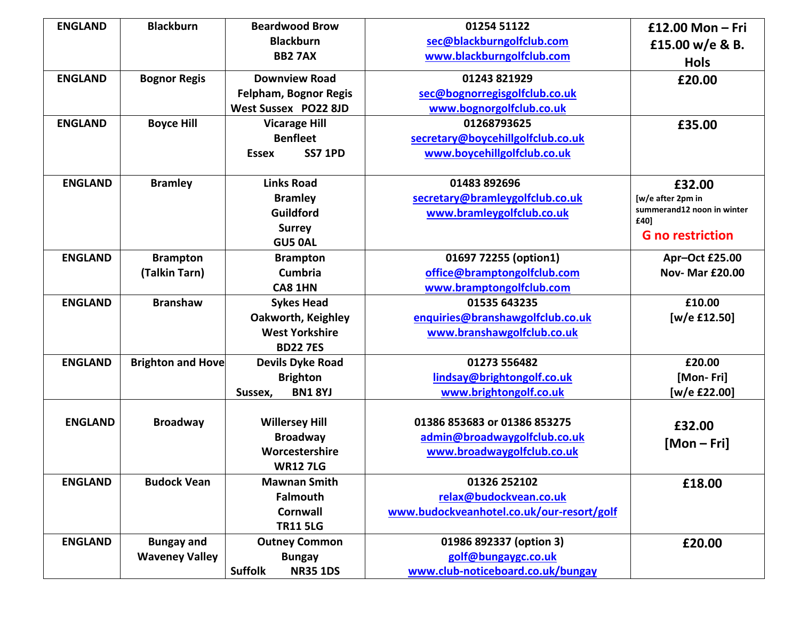| <b>ENGLAND</b> | <b>Blackburn</b>         | <b>Beardwood Brow</b>             | 01254 51122                               | £12.00 Mon - Fri                |
|----------------|--------------------------|-----------------------------------|-------------------------------------------|---------------------------------|
|                |                          | <b>Blackburn</b>                  | sec@blackburngolfclub.com                 | £15.00 w/e & B.                 |
|                |                          | <b>BB2 7AX</b>                    | www.blackburngolfclub.com                 | <b>Hols</b>                     |
| <b>ENGLAND</b> | <b>Bognor Regis</b>      | <b>Downview Road</b>              | 01243 821929                              | £20.00                          |
|                |                          | <b>Felpham, Bognor Regis</b>      | sec@bognorregisgolfclub.co.uk             |                                 |
|                |                          | West Sussex PO22 8JD              | www.bognorgolfclub.co.uk                  |                                 |
| <b>ENGLAND</b> | <b>Boyce Hill</b>        | <b>Vicarage Hill</b>              | 01268793625                               | £35.00                          |
|                |                          | <b>Benfleet</b>                   | secretary@boycehillgolfclub.co.uk         |                                 |
|                |                          | <b>SS7 1PD</b><br><b>Essex</b>    | www.boycehillgolfclub.co.uk               |                                 |
| <b>ENGLAND</b> | <b>Bramley</b>           | <b>Links Road</b>                 | 01483 892696                              | £32.00                          |
|                |                          | <b>Bramley</b>                    | secretary@bramleygolfclub.co.uk           | [w/e after 2pm in               |
|                |                          | Guildford                         | www.bramleygolfclub.co.uk                 | summerand12 noon in winter      |
|                |                          | <b>Surrey</b>                     |                                           | £40]<br><b>G</b> no restriction |
|                |                          | <b>GU5 0AL</b>                    |                                           |                                 |
| <b>ENGLAND</b> | <b>Brampton</b>          | <b>Brampton</b>                   | 01697 72255 (option1)                     | Apr-Oct £25.00                  |
|                | (Talkin Tarn)            | Cumbria                           | office@bramptongolfclub.com               | <b>Nov- Mar £20.00</b>          |
|                |                          | CA8 1HN                           | www.bramptongolfclub.com                  |                                 |
| <b>ENGLAND</b> | <b>Branshaw</b>          | <b>Sykes Head</b>                 | 01535 643235                              | £10.00                          |
|                |                          | <b>Oakworth, Keighley</b>         | enquiries@branshawgolfclub.co.uk          | [w/e £12.50]                    |
|                |                          | <b>West Yorkshire</b>             | www.branshawgolfclub.co.uk                |                                 |
|                |                          | <b>BD227ES</b>                    |                                           |                                 |
| <b>ENGLAND</b> | <b>Brighton and Hove</b> | <b>Devils Dyke Road</b>           | 01273 556482                              | £20.00                          |
|                |                          | <b>Brighton</b>                   | lindsay@brightongolf.co.uk                | [Mon-Fri]                       |
|                |                          | <b>BN1 8YJ</b><br>Sussex,         | www.brightongolf.co.uk                    | [w/e £22.00]                    |
|                |                          |                                   |                                           |                                 |
| <b>ENGLAND</b> | <b>Broadway</b>          | <b>Willersey Hill</b>             | 01386 853683 or 01386 853275              | £32.00                          |
|                |                          | <b>Broadway</b>                   | admin@broadwaygolfclub.co.uk              | $[Mon-Fri]$                     |
|                |                          | Worcestershire                    | www.broadwaygolfclub.co.uk                |                                 |
|                |                          | <b>WR12 7LG</b>                   |                                           |                                 |
| <b>ENGLAND</b> | <b>Budock Vean</b>       | <b>Mawnan Smith</b>               | 01326 252102                              | £18.00                          |
|                |                          | <b>Falmouth</b>                   | relax@budockvean.co.uk                    |                                 |
|                |                          | <b>Cornwall</b>                   | www.budockveanhotel.co.uk/our-resort/golf |                                 |
|                |                          | <b>TR11 5LG</b>                   |                                           |                                 |
| <b>ENGLAND</b> | <b>Bungay and</b>        | <b>Outney Common</b>              | 01986 892337 (option 3)                   | £20.00                          |
|                | <b>Waveney Valley</b>    | <b>Bungay</b>                     | golf@bungaygc.co.uk                       |                                 |
|                |                          | <b>Suffolk</b><br><b>NR35 1DS</b> | www.club-noticeboard.co.uk/bungay         |                                 |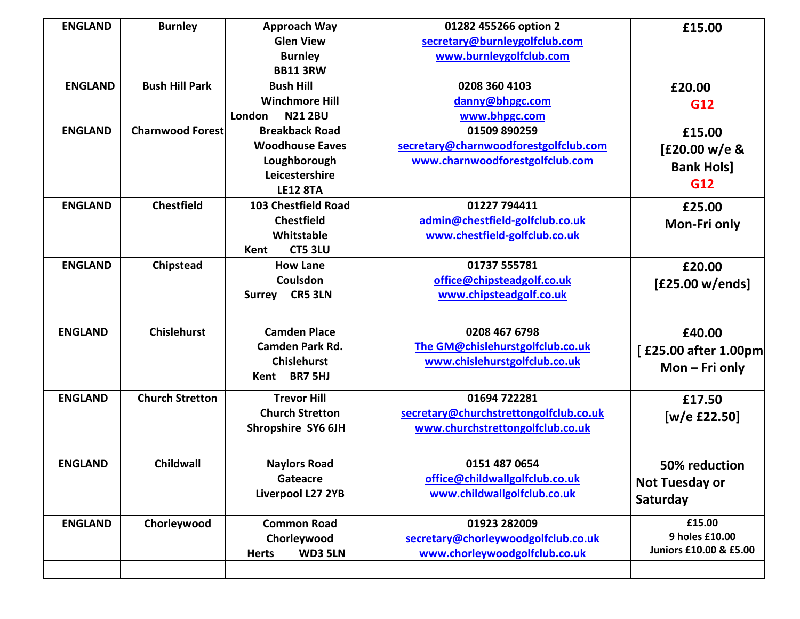| <b>ENGLAND</b> | <b>Burnley</b>          | <b>Approach Way</b>            | 01282 455266 option 2                  | £15.00                 |
|----------------|-------------------------|--------------------------------|----------------------------------------|------------------------|
|                |                         | <b>Glen View</b>               | secretary@burnleygolfclub.com          |                        |
|                |                         | <b>Burnley</b>                 | www.burnleygolfclub.com                |                        |
|                |                         | <b>BB11 3RW</b>                |                                        |                        |
| <b>ENGLAND</b> | <b>Bush Hill Park</b>   | <b>Bush Hill</b>               | 0208 360 4103                          | £20.00                 |
|                |                         | <b>Winchmore Hill</b>          | danny@bhpgc.com                        | G12                    |
|                |                         | London<br><b>N21 2BU</b>       | www.bhpgc.com                          |                        |
| <b>ENGLAND</b> | <b>Charnwood Forest</b> | <b>Breakback Road</b>          | 01509 890259                           | £15.00                 |
|                |                         | <b>Woodhouse Eaves</b>         | secretary@charnwoodforestgolfclub.com  | [£20.00 w/e &          |
|                |                         | Loughborough                   | www.charnwoodforestgolfclub.com        | <b>Bank Hols]</b>      |
|                |                         | Leicestershire                 |                                        | G12                    |
|                |                         | <b>LE12 8TA</b>                |                                        |                        |
| <b>ENGLAND</b> | <b>Chestfield</b>       | 103 Chestfield Road            | 01227 794411                           | £25.00                 |
|                |                         | <b>Chestfield</b>              | admin@chestfield-golfclub.co.uk        | <b>Mon-Fri only</b>    |
|                |                         | Whitstable                     | www.chestfield-golfclub.co.uk          |                        |
|                |                         | <b>CT5 3LU</b><br>Kent         |                                        |                        |
| <b>ENGLAND</b> | Chipstead               | <b>How Lane</b>                | 01737 555781                           | £20.00                 |
|                |                         | Coulsdon                       | office@chipsteadgolf.co.uk             | [£25.00 w/ends]        |
|                |                         | Surrey CR5 3LN                 | www.chipsteadgolf.co.uk                |                        |
|                |                         |                                |                                        |                        |
| <b>ENGLAND</b> | <b>Chislehurst</b>      | <b>Camden Place</b>            | 0208 467 6798                          | £40.00                 |
|                |                         | <b>Camden Park Rd.</b>         | The GM@chislehurstgolfclub.co.uk       | [£25.00 after 1.00pm]  |
|                |                         | <b>Chislehurst</b>             | www.chislehurstgolfclub.co.uk          |                        |
|                |                         | Kent BR7 5HJ                   |                                        | Mon $-$ Fri only       |
| <b>ENGLAND</b> | <b>Church Stretton</b>  | <b>Trevor Hill</b>             | 01694 722281                           | £17.50                 |
|                |                         | <b>Church Stretton</b>         | secretary@churchstrettongolfclub.co.uk |                        |
|                |                         | Shropshire SY6 6JH             | www.churchstrettongolfclub.co.uk       | [w/e $£22.50]$         |
|                |                         |                                |                                        |                        |
| <b>ENGLAND</b> | Childwall               | <b>Naylors Road</b>            | 0151 487 0654                          | 50% reduction          |
|                |                         | Gateacre                       | office@childwallgolfclub.co.uk         |                        |
|                |                         | Liverpool L27 2YB              | www.childwallgolfclub.co.uk            | <b>Not Tuesday or</b>  |
|                |                         |                                |                                        | Saturday               |
| <b>ENGLAND</b> | Chorleywood             | <b>Common Road</b>             | 01923 282009                           | £15.00                 |
|                |                         | Chorleywood                    | secretary@chorleywoodgolfclub.co.uk    | 9 holes £10.00         |
|                |                         | <b>WD3 5LN</b><br><b>Herts</b> | www.chorleywoodgolfclub.co.uk          | Juniors £10.00 & £5.00 |
|                |                         |                                |                                        |                        |
|                |                         |                                |                                        |                        |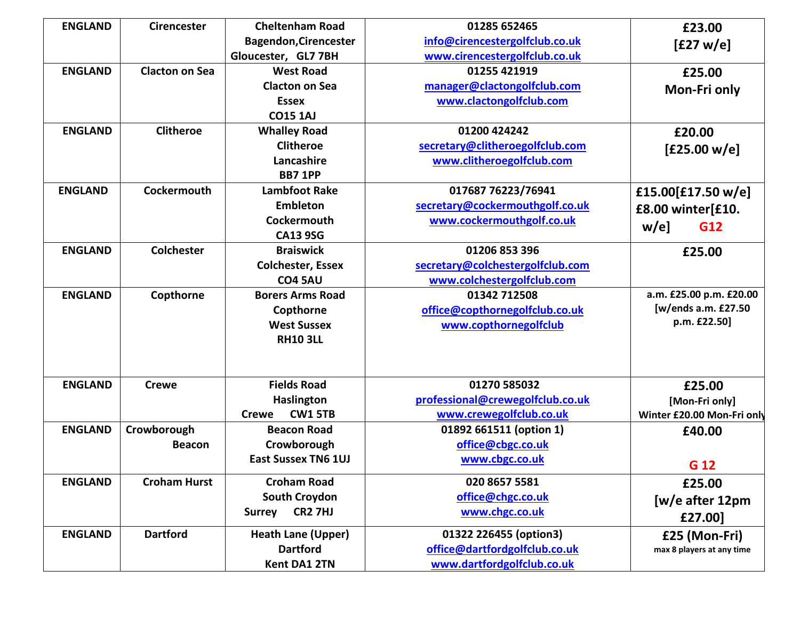| <b>ENGLAND</b> | <b>Cirencester</b>    | <b>Cheltenham Road</b>          | 01285 652465                     | £23.00                     |
|----------------|-----------------------|---------------------------------|----------------------------------|----------------------------|
|                |                       | <b>Bagendon, Cirencester</b>    | info@cirencestergolfclub.co.uk   | [£27 w/e]                  |
|                |                       | Gloucester, GL7 7BH             | www.cirencestergolfclub.co.uk    |                            |
| <b>ENGLAND</b> | <b>Clacton on Sea</b> | <b>West Road</b>                | 01255 421919                     | £25.00                     |
|                |                       | <b>Clacton on Sea</b>           | manager@clactongolfclub.com      | Mon-Fri only               |
|                |                       | <b>Essex</b>                    | www.clactongolfclub.com          |                            |
|                |                       | <b>CO15 1AJ</b>                 |                                  |                            |
| <b>ENGLAND</b> | <b>Clitheroe</b>      | <b>Whalley Road</b>             | 01200 424242                     | £20.00                     |
|                |                       | <b>Clitheroe</b>                | secretary@clitheroegolfclub.com  | [£25.00 w/e]               |
|                |                       | Lancashire                      | www.clitheroegolfclub.com        |                            |
|                |                       | <b>BB7 1PP</b>                  |                                  |                            |
| <b>ENGLAND</b> | <b>Cockermouth</b>    | <b>Lambfoot Rake</b>            | 017687 76223/76941               | £15.00[£17.50 w/e]         |
|                |                       | <b>Embleton</b>                 | secretary@cockermouthgolf.co.uk  | £8.00 winter[£10.          |
|                |                       | Cockermouth                     | www.cockermouthgolf.co.uk        | $w/e$ ]<br>G12             |
|                |                       | <b>CA13 9SG</b>                 |                                  |                            |
| <b>ENGLAND</b> | <b>Colchester</b>     | <b>Braiswick</b>                | 01206 853 396                    | £25.00                     |
|                |                       | <b>Colchester, Essex</b>        | secretary@colchestergolfclub.com |                            |
|                |                       | <b>CO4 5AU</b>                  | www.colchestergolfclub.com       |                            |
| <b>ENGLAND</b> | Copthorne             | <b>Borers Arms Road</b>         | 01342 712508                     | a.m. £25.00 p.m. £20.00    |
|                |                       | Copthorne                       | office@copthornegolfclub.co.uk   | [w/ends a.m. £27.50        |
|                |                       | <b>West Sussex</b>              | www.copthornegolfclub            | p.m. £22.50]               |
|                |                       | <b>RH10 3LL</b>                 |                                  |                            |
| <b>ENGLAND</b> | <b>Crewe</b>          | <b>Fields Road</b>              | 01270 585032                     | £25.00                     |
|                |                       | <b>Haslington</b>               | professional@crewegolfclub.co.uk | [Mon-Fri only]             |
|                |                       | <b>CW1 5TB</b><br><b>Crewe</b>  | www.crewegolfclub.co.uk          | Winter £20.00 Mon-Fri only |
| <b>ENGLAND</b> | Crowborough           | <b>Beacon Road</b>              | 01892 661511 (option 1)          | £40.00                     |
|                | <b>Beacon</b>         | Crowborough                     | office@cbgc.co.uk                |                            |
|                |                       | <b>East Sussex TN6 1UJ</b>      | www.cbgc.co.uk                   | G 12                       |
| <b>ENGLAND</b> | <b>Croham Hurst</b>   | <b>Croham Road</b>              | 020 8657 5581                    | £25.00                     |
|                |                       | South Croydon                   | office@chgc.co.uk                | [w/e after 12pm            |
|                |                       | <b>CR2 7HJ</b><br><b>Surrey</b> | www.chgc.co.uk                   | £27.00]                    |
| <b>ENGLAND</b> | <b>Dartford</b>       | <b>Heath Lane (Upper)</b>       | 01322 226455 (option3)           | £25 (Mon-Fri)              |
|                |                       | <b>Dartford</b>                 | office@dartfordgolfclub.co.uk    | max 8 players at any time  |
|                |                       | Kent DA1 2TN                    | www.dartfordgolfclub.co.uk       |                            |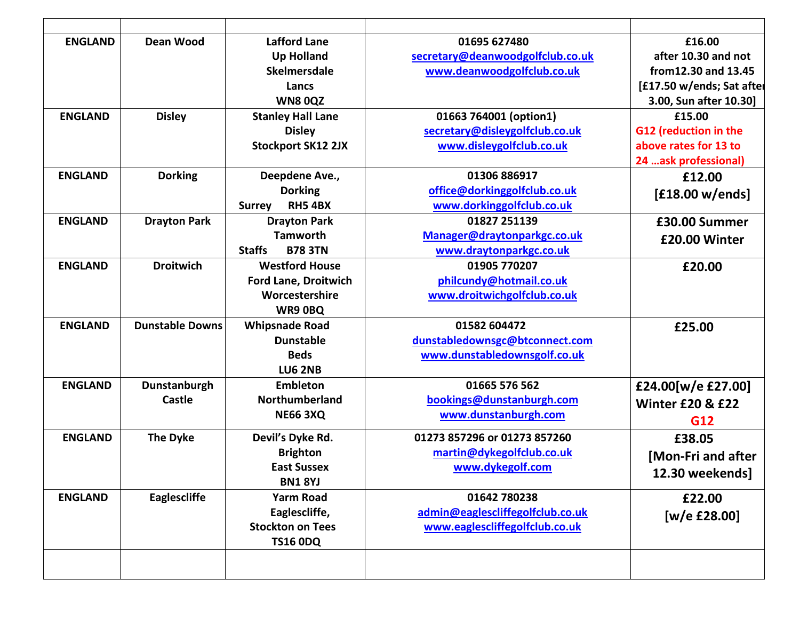| <b>ENGLAND</b> | Dean Wood              | <b>Lafford Lane</b>             | 01695 627480                     | £16.00                      |
|----------------|------------------------|---------------------------------|----------------------------------|-----------------------------|
|                |                        | <b>Up Holland</b>               | secretary@deanwoodgolfclub.co.uk | after 10.30 and not         |
|                |                        | <b>Skelmersdale</b>             | www.deanwoodgolfclub.co.uk       | from12.30 and 13.45         |
|                |                        | Lancs                           |                                  | [£17.50 w/ends; Sat after   |
|                |                        | <b>WN80QZ</b>                   |                                  | 3.00, Sun after 10.30]      |
| <b>ENGLAND</b> | <b>Disley</b>          | <b>Stanley Hall Lane</b>        | 01663 764001 (option1)           | £15.00                      |
|                |                        | <b>Disley</b>                   | secretary@disleygolfclub.co.uk   | G12 (reduction in the       |
|                |                        | <b>Stockport SK12 2JX</b>       | www.disleygolfclub.co.uk         | above rates for 13 to       |
|                |                        |                                 |                                  | 24  ask professional)       |
| <b>ENGLAND</b> | <b>Dorking</b>         | Deepdene Ave.,                  | 01306 886917                     | £12.00                      |
|                |                        | <b>Dorking</b>                  | office@dorkinggolfclub.co.uk     | [£18.00 w/ends]             |
|                |                        | <b>Surrey</b><br><b>RH5 4BX</b> | www.dorkinggolfclub.co.uk        |                             |
| <b>ENGLAND</b> | <b>Drayton Park</b>    | <b>Drayton Park</b>             | 01827 251139                     | £30.00 Summer               |
|                |                        | <b>Tamworth</b>                 | Manager@draytonparkgc.co.uk      | £20.00 Winter               |
|                |                        | <b>Staffs</b><br><b>B78 3TN</b> | www.draytonparkgc.co.uk          |                             |
| <b>ENGLAND</b> | <b>Droitwich</b>       | <b>Westford House</b>           | 01905 770207                     | £20.00                      |
|                |                        | <b>Ford Lane, Droitwich</b>     | philcundy@hotmail.co.uk          |                             |
|                |                        | Worcestershire                  | www.droitwichgolfclub.co.uk      |                             |
|                |                        | WR9 OBQ                         |                                  |                             |
| <b>ENGLAND</b> | <b>Dunstable Downs</b> | <b>Whipsnade Road</b>           | 01582 604472                     | £25.00                      |
|                |                        | <b>Dunstable</b>                | dunstabledownsgc@btconnect.com   |                             |
|                |                        | <b>Beds</b>                     | www.dunstabledownsgolf.co.uk     |                             |
|                |                        | <b>LU6 2NB</b>                  |                                  |                             |
| <b>ENGLAND</b> | Dunstanburgh           | <b>Embleton</b>                 | 01665 576 562                    | £24.00[w/e £27.00]          |
|                | Castle                 | Northumberland                  | bookings@dunstanburgh.com        | <b>Winter £20 &amp; £22</b> |
|                |                        | <b>NE66 3XQ</b>                 | www.dunstanburgh.com             |                             |
|                |                        |                                 |                                  | G12                         |
| <b>ENGLAND</b> | <b>The Dyke</b>        | Devil's Dyke Rd.                | 01273 857296 or 01273 857260     | £38.05                      |
|                |                        | <b>Brighton</b>                 | martin@dykegolfclub.co.uk        | [Mon-Fri and after          |
|                |                        | <b>East Sussex</b>              | www.dykegolf.com                 | 12.30 weekends]             |
|                |                        | <b>BN18YJ</b>                   |                                  |                             |
| <b>ENGLAND</b> | Eaglescliffe           | <b>Yarm Road</b>                | 01642 780238                     | £22.00                      |
|                |                        | Eaglescliffe,                   | admin@eaglescliffegolfclub.co.uk | [w/e £28.00]                |
|                |                        | <b>Stockton on Tees</b>         | www.eaglescliffegolfclub.co.uk   |                             |
|                |                        | <b>TS16 0DQ</b>                 |                                  |                             |
|                |                        |                                 |                                  |                             |
|                |                        |                                 |                                  |                             |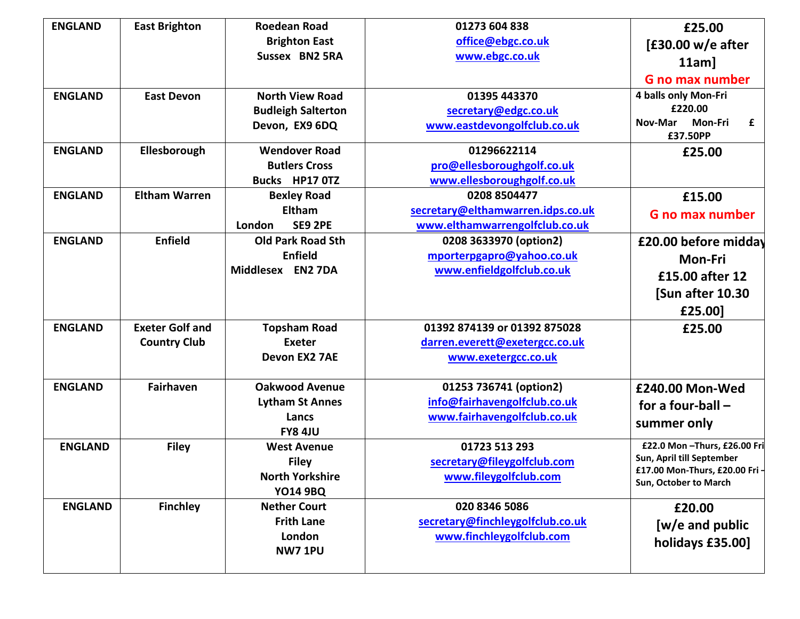| <b>ENGLAND</b> | <b>East Brighton</b>   | <b>Roedean Road</b>       | 01273 604 838                     | £25.00                                                    |
|----------------|------------------------|---------------------------|-----------------------------------|-----------------------------------------------------------|
|                |                        | <b>Brighton East</b>      | office@ebgc.co.uk                 | $E30.00$ w/e after                                        |
|                |                        | Sussex BN2 5RA            | www.ebgc.co.uk                    | $11am$ ]                                                  |
|                |                        |                           |                                   | <b>G</b> no max number                                    |
| <b>ENGLAND</b> | <b>East Devon</b>      | <b>North View Road</b>    | 01395 443370                      | 4 balls only Mon-Fri                                      |
|                |                        | <b>Budleigh Salterton</b> | secretary@edgc.co.uk              | £220.00                                                   |
|                |                        | Devon, EX9 6DQ            | www.eastdevongolfclub.co.uk       | Nov-Mar<br>Mon-Fri<br>£<br>£37.50PP                       |
| <b>ENGLAND</b> | Ellesborough           | <b>Wendover Road</b>      | 01296622114                       | £25.00                                                    |
|                |                        | <b>Butlers Cross</b>      | pro@ellesboroughgolf.co.uk        |                                                           |
|                |                        | Bucks HP17 0TZ            | www.ellesboroughgolf.co.uk        |                                                           |
| <b>ENGLAND</b> | <b>Eltham Warren</b>   | <b>Bexley Road</b>        | 0208 8504477                      | £15.00                                                    |
|                |                        | <b>Eltham</b>             | secretary@elthamwarren.idps.co.uk | <b>G</b> no max number                                    |
|                |                        | <b>SE9 2PE</b><br>London  | www.elthamwarrengolfclub.co.uk    |                                                           |
| <b>ENGLAND</b> | <b>Enfield</b>         | <b>Old Park Road Sth</b>  | 0208 3633970 (option2)            | £20.00 before midday                                      |
|                |                        | <b>Enfield</b>            | mporterpgapro@yahoo.co.uk         | <b>Mon-Fri</b>                                            |
|                |                        | Middlesex EN2 7DA         | www.enfieldgolfclub.co.uk         | £15.00 after 12                                           |
|                |                        |                           |                                   | [Sun after 10.30                                          |
|                |                        |                           |                                   |                                                           |
|                |                        |                           |                                   | £25.00]                                                   |
| <b>ENGLAND</b> | <b>Exeter Golf and</b> | <b>Topsham Road</b>       | 01392 874139 or 01392 875028      | £25.00                                                    |
|                | <b>Country Club</b>    | <b>Exeter</b>             | darren.everett@exetergcc.co.uk    |                                                           |
|                |                        | Devon EX2 7AE             | www.exetergcc.co.uk               |                                                           |
| <b>ENGLAND</b> | <b>Fairhaven</b>       | <b>Oakwood Avenue</b>     | 01253 736741 (option2)            | £240.00 Mon-Wed                                           |
|                |                        | <b>Lytham St Annes</b>    | info@fairhavengolfclub.co.uk      | for a four-ball $-$                                       |
|                |                        | Lancs                     | www.fairhavengolfclub.co.uk       | summer only                                               |
|                |                        | <b>FY8 4JU</b>            |                                   |                                                           |
| <b>ENGLAND</b> | <b>Filey</b>           | <b>West Avenue</b>        | 01723 513 293                     | £22.0 Mon - Thurs, £26.00 Fri                             |
|                |                        | <b>Filey</b>              | secretary@fileygolfclub.com       | Sun, April till September<br>£17.00 Mon-Thurs, £20.00 Fri |
|                |                        | <b>North Yorkshire</b>    | www.fileygolfclub.com             | Sun, October to March                                     |
|                |                        | <b>YO14 9BQ</b>           |                                   |                                                           |
| <b>ENGLAND</b> | <b>Finchley</b>        | <b>Nether Court</b>       | 020 8346 5086                     | £20.00                                                    |
|                |                        | <b>Frith Lane</b>         | secretary@finchleygolfclub.co.uk  | $[w/e$ and public                                         |
|                |                        | London                    | www.finchleygolfclub.com          | holidays £35.00]                                          |
|                |                        | <b>NW7 1PU</b>            |                                   |                                                           |
|                |                        |                           |                                   |                                                           |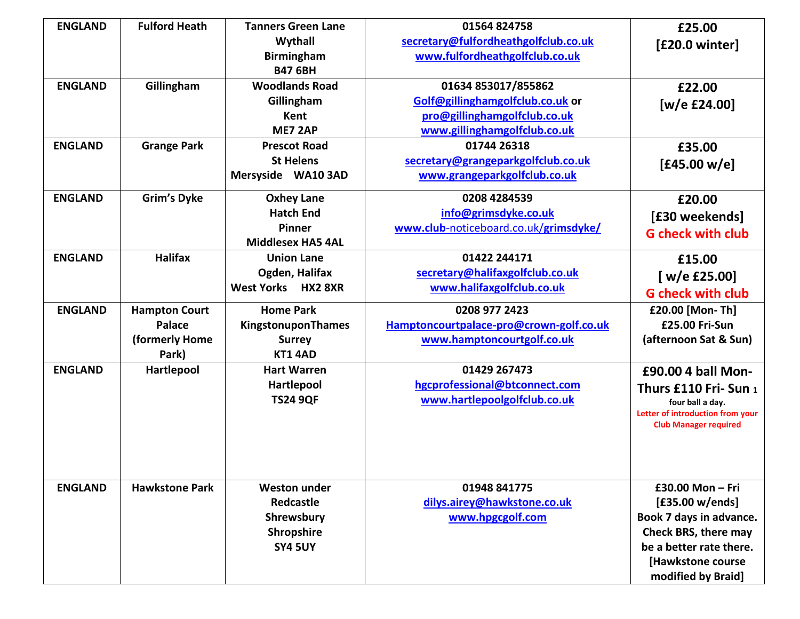| <b>ENGLAND</b> | <b>Fulford Heath</b>  | <b>Tanners Green Lane</b> | 01564 824758                            | £25.00                           |
|----------------|-----------------------|---------------------------|-----------------------------------------|----------------------------------|
|                |                       | Wythall                   | secretary@fulfordheathgolfclub.co.uk    | [£20.0 winter]                   |
|                |                       | <b>Birmingham</b>         | www.fulfordheathgolfclub.co.uk          |                                  |
|                |                       | <b>B47 6BH</b>            |                                         |                                  |
| <b>ENGLAND</b> | Gillingham            | <b>Woodlands Road</b>     | 01634 853017/855862                     | £22.00                           |
|                |                       | Gillingham                | Golf@gillinghamgolfclub.co.uk or        | [w/e £24.00]                     |
|                |                       | <b>Kent</b>               | pro@gillinghamgolfclub.co.uk            |                                  |
|                |                       | ME7 2AP                   | www.gillinghamgolfclub.co.uk            |                                  |
| <b>ENGLAND</b> | <b>Grange Park</b>    | <b>Prescot Road</b>       | 01744 26318                             | £35.00                           |
|                |                       | <b>St Helens</b>          | secretary@grangeparkgolfclub.co.uk      | [£45.00 w/e]                     |
|                |                       | Mersyside WA10 3AD        | www.grangeparkgolfclub.co.uk            |                                  |
| <b>ENGLAND</b> | <b>Grim's Dyke</b>    | <b>Oxhey Lane</b>         | 0208 4284539                            | £20.00                           |
|                |                       | <b>Hatch End</b>          | info@grimsdyke.co.uk                    | [£30 weekends]                   |
|                |                       | <b>Pinner</b>             | www.club-noticeboard.co.uk/grimsdyke/   | <b>G</b> check with club         |
|                |                       | <b>Middlesex HA5 4AL</b>  |                                         |                                  |
| <b>ENGLAND</b> | <b>Halifax</b>        | <b>Union Lane</b>         | 01422 244171                            | £15.00                           |
|                |                       | Ogden, Halifax            | secretary@halifaxgolfclub.co.uk         | [ $w/e$ £25.00]                  |
|                |                       | West Yorks HX2 8XR        | www.halifaxgolfclub.co.uk               | <b>G</b> check with club         |
| <b>ENGLAND</b> | <b>Hampton Court</b>  | <b>Home Park</b>          | 0208 977 2423                           | £20.00 [Mon-Th]                  |
|                | Palace                | KingstonuponThames        | Hamptoncourtpalace-pro@crown-golf.co.uk | £25.00 Fri-Sun                   |
|                | (formerly Home        | <b>Surrey</b>             | www.hamptoncourtgolf.co.uk              | (afternoon Sat & Sun)            |
|                | Park)                 | <b>KT1 4AD</b>            |                                         |                                  |
| <b>ENGLAND</b> | Hartlepool            | <b>Hart Warren</b>        | 01429 267473                            | £90.00 4 ball Mon-               |
|                |                       | Hartlepool                | hgcprofessional@btconnect.com           | Thurs £110 Fri- Sun 1            |
|                |                       | <b>TS24 9QF</b>           | www.hartlepoolgolfclub.co.uk            | four ball a day.                 |
|                |                       |                           |                                         | Letter of introduction from your |
|                |                       |                           |                                         | <b>Club Manager required</b>     |
|                |                       |                           |                                         |                                  |
|                |                       |                           |                                         |                                  |
| <b>ENGLAND</b> | <b>Hawkstone Park</b> | <b>Weston under</b>       | 01948 841775                            | £30.00 Mon - Fri                 |
|                |                       | Redcastle                 | dilys.airey@hawkstone.co.uk             | [£35.00 w/ends]                  |
|                |                       | Shrewsbury                | www.hpgcgolf.com                        | Book 7 days in advance.          |
|                |                       | Shropshire                |                                         | Check BRS, there may             |
|                |                       | <b>SY4 5UY</b>            |                                         | be a better rate there.          |
|                |                       |                           |                                         | [Hawkstone course                |
|                |                       |                           |                                         | modified by Braid]               |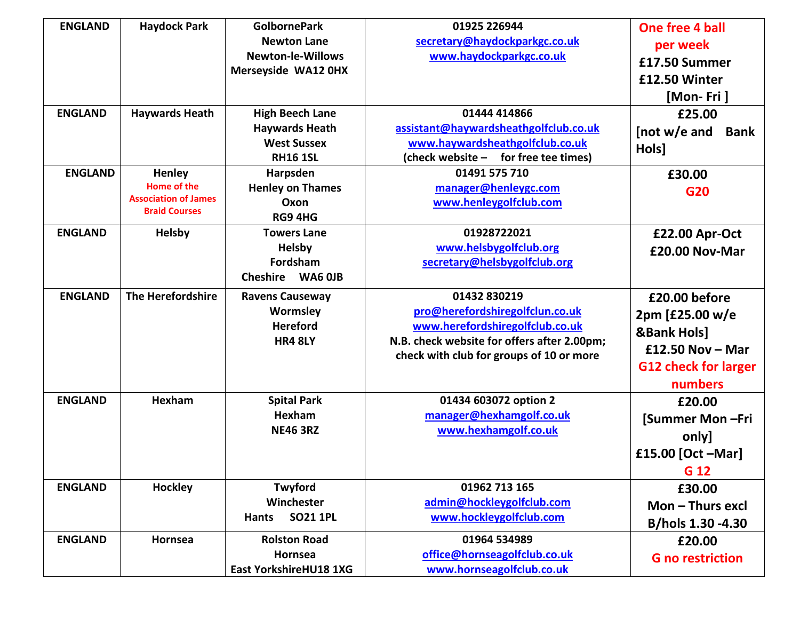| <b>ENGLAND</b> | <b>Haydock Park</b>                               | <b>GolbornePark</b>             | 01925 226944                                      | <b>One free 4 ball</b>      |
|----------------|---------------------------------------------------|---------------------------------|---------------------------------------------------|-----------------------------|
|                |                                                   | <b>Newton Lane</b>              | secretary@haydockparkgc.co.uk                     |                             |
|                |                                                   | <b>Newton-le-Willows</b>        | www.haydockparkgc.co.uk                           | per week                    |
|                |                                                   | Merseyside WA12 0HX             |                                                   | £17.50 Summer               |
|                |                                                   |                                 |                                                   | £12.50 Winter               |
|                |                                                   |                                 |                                                   | [Mon-Fri]                   |
| <b>ENGLAND</b> | <b>Haywards Heath</b>                             | <b>High Beech Lane</b>          | 01444 414866                                      | £25.00                      |
|                |                                                   | <b>Haywards Heath</b>           | assistant@haywardsheathgolfclub.co.uk             | [not w/e and<br><b>Bank</b> |
|                |                                                   | <b>West Sussex</b>              | www.haywardsheathgolfclub.co.uk                   | Hols]                       |
|                |                                                   | <b>RH16 1SL</b>                 | (check website - for free tee times)              |                             |
| <b>ENGLAND</b> | <b>Henley</b>                                     | Harpsden                        | 01491 575 710                                     | £30.00                      |
|                | <b>Home of the</b><br><b>Association of James</b> | <b>Henley on Thames</b>         | manager@henleygc.com                              | G20                         |
|                | <b>Braid Courses</b>                              | Oxon                            | www.henleygolfclub.com                            |                             |
|                |                                                   | RG9 4HG                         |                                                   |                             |
| <b>ENGLAND</b> | <b>Helsby</b>                                     | <b>Towers Lane</b>              | 01928722021                                       | £22.00 Apr-Oct              |
|                |                                                   | <b>Helsby</b>                   | www.helsbygolfclub.org                            | £20.00 Nov-Mar              |
|                |                                                   | Fordsham                        | secretary@helsbygolfclub.org                      |                             |
|                |                                                   | Cheshire WA6 0JB                |                                                   |                             |
| <b>ENGLAND</b> | <b>The Herefordshire</b>                          | <b>Ravens Causeway</b>          | 01432 830219                                      | £20.00 before               |
|                |                                                   | Wormsley                        | pro@herefordshiregolfclun.co.uk                   | 2pm [£25.00 w/e             |
|                |                                                   | <b>Hereford</b>                 | www.herefordshiregolfclub.co.uk                   | <b>&amp;Bank Hols]</b>      |
|                |                                                   | <b>HR4 8LY</b>                  | N.B. check website for offers after 2.00pm;       | £12.50 Nov $-$ Mar          |
|                |                                                   |                                 | check with club for groups of 10 or more          | <b>G12 check for larger</b> |
|                |                                                   |                                 |                                                   | numbers                     |
| <b>ENGLAND</b> | Hexham                                            |                                 |                                                   |                             |
|                |                                                   | <b>Spital Park</b><br>Hexham    | 01434 603072 option 2<br>manager@hexhamgolf.co.uk | £20.00                      |
|                |                                                   | <b>NE46 3RZ</b>                 | www.hexhamgolf.co.uk                              | [Summer Mon-Fri             |
|                |                                                   |                                 |                                                   | only]                       |
|                |                                                   |                                 |                                                   | £15.00 [Oct -Mar]           |
|                |                                                   |                                 |                                                   | G 12                        |
| <b>ENGLAND</b> | <b>Hockley</b>                                    | Twyford                         | 01962 713 165                                     | £30.00                      |
|                |                                                   | Winchester                      | admin@hockleygolfclub.com                         | Mon-Thurs excl              |
|                |                                                   | <b>SO21 1PL</b><br><b>Hants</b> | www.hockleygolfclub.com                           | B/hols 1.30 -4.30           |
| <b>ENGLAND</b> | Hornsea                                           | <b>Rolston Road</b>             | 01964 534989                                      | £20.00                      |
|                |                                                   | Hornsea                         | office@hornseagolfclub.co.uk                      | <b>G</b> no restriction     |
|                |                                                   | <b>East YorkshireHU18 1XG</b>   | www.hornseagolfclub.co.uk                         |                             |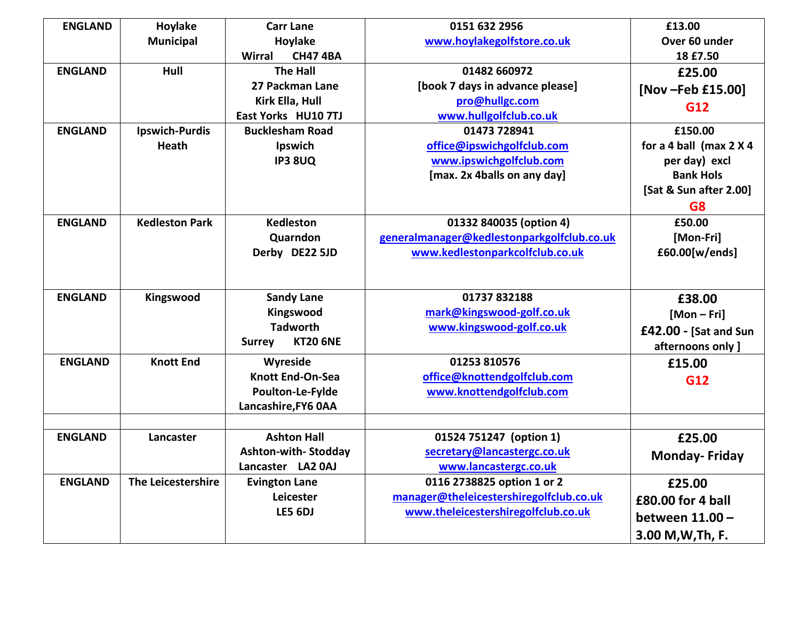| <b>ENGLAND</b> | Hoylake               | <b>Carr Lane</b>                 | 0151 632 2956                              | £13.00                  |
|----------------|-----------------------|----------------------------------|--------------------------------------------|-------------------------|
|                | <b>Municipal</b>      | Hoylake                          | www.hoylakegolfstore.co.uk                 | Over 60 under           |
|                |                       | <b>CH47 4BA</b><br><b>Wirral</b> |                                            | 18 £7.50                |
| <b>ENGLAND</b> | Hull                  | <b>The Hall</b>                  | 01482 660972                               | £25.00                  |
|                |                       | 27 Packman Lane                  | [book 7 days in advance please]            | [Nov-Feb £15.00]        |
|                |                       | Kirk Ella, Hull                  | pro@hullgc.com                             | G12                     |
|                |                       | East Yorks HU10 7TJ              | www.hullgolfclub.co.uk                     |                         |
| <b>ENGLAND</b> | <b>Ipswich-Purdis</b> | <b>Bucklesham Road</b>           | 01473 728941                               | £150.00                 |
|                | <b>Heath</b>          | Ipswich                          | office@ipswichgolfclub.com                 | for a 4 ball (max 2 X 4 |
|                |                       | <b>IP3 8UQ</b>                   | www.ipswichgolfclub.com                    | per day) excl           |
|                |                       |                                  | [max. 2x 4balls on any day]                | <b>Bank Hols</b>        |
|                |                       |                                  |                                            | [Sat & Sun after 2.00]  |
|                |                       |                                  |                                            | G <sub>8</sub>          |
| <b>ENGLAND</b> | <b>Kedleston Park</b> | <b>Kedleston</b>                 | 01332 840035 (option 4)                    | £50.00                  |
|                |                       | Quarndon                         | generalmanager@kedlestonparkgolfclub.co.uk | [Mon-Fri]               |
|                |                       | Derby DE22 5JD                   | www.kedlestonparkcolfclub.co.uk            | £60.00[w/ends]          |
|                |                       |                                  |                                            |                         |
|                |                       |                                  |                                            |                         |
| <b>ENGLAND</b> | Kingswood             | <b>Sandy Lane</b>                | 01737 832188                               | £38.00                  |
|                |                       | Kingswood                        | mark@kingswood-golf.co.uk                  | $[Mon-Fri]$             |
|                |                       | <b>Tadworth</b>                  | www.kingswood-golf.co.uk                   | £42.00 - [Sat and Sun   |
|                |                       | <b>KT20 6NE</b><br><b>Surrey</b> |                                            | afternoons only ]       |
| <b>ENGLAND</b> | <b>Knott End</b>      | Wyreside                         | 01253 810576                               | £15.00                  |
|                |                       | <b>Knott End-On-Sea</b>          | office@knottendgolfclub.com                | G12                     |
|                |                       | Poulton-Le-Fylde                 | www.knottendgolfclub.com                   |                         |
|                |                       | Lancashire, FY6 0AA              |                                            |                         |
|                |                       |                                  |                                            |                         |
| <b>ENGLAND</b> | Lancaster             | <b>Ashton Hall</b>               | 01524 751247 (option 1)                    | £25.00                  |
|                |                       | <b>Ashton-with-Stodday</b>       | secretary@lancastergc.co.uk                | <b>Monday-Friday</b>    |
|                |                       | Lancaster LA2 0AJ                | www.lancastergc.co.uk                      |                         |
| <b>ENGLAND</b> | The Leicestershire    | <b>Evington Lane</b>             | 0116 2738825 option 1 or 2                 | £25.00                  |
|                |                       | Leicester                        | manager@theleicestershiregolfclub.co.uk    | £80.00 for 4 ball       |
|                |                       | LE5 6DJ                          | www.theleicestershiregolfclub.co.uk        | between 11.00 -         |
|                |                       |                                  |                                            |                         |
|                |                       |                                  |                                            | 3.00 M, W, Th, F.       |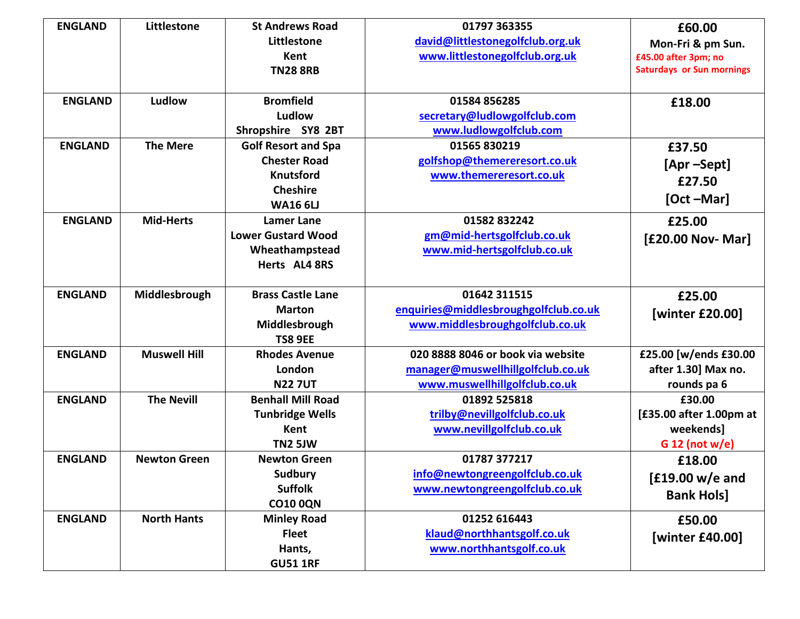| <b>ENGLAND</b> | Littlestone         | <b>St Andrews Road</b>     | 01797 363355                          | £60.00                           |
|----------------|---------------------|----------------------------|---------------------------------------|----------------------------------|
|                |                     | Littlestone                | david@littlestonegolfclub.org.uk      | Mon-Fri & pm Sun.                |
|                |                     | <b>Kent</b>                | www.littlestonegolfclub.org.uk        | £45.00 after 3pm; no             |
|                |                     | <b>TN28 8RB</b>            |                                       | <b>Saturdays or Sun mornings</b> |
|                |                     |                            |                                       |                                  |
| <b>ENGLAND</b> | Ludlow              | <b>Bromfield</b>           | 01584 856285                          | £18.00                           |
|                |                     | Ludlow                     | secretary@ludlowgolfclub.com          |                                  |
|                |                     | Shropshire SY8 2BT         | www.ludlowgolfclub.com                |                                  |
| <b>ENGLAND</b> | <b>The Mere</b>     | <b>Golf Resort and Spa</b> | 01565 830219                          | £37.50                           |
|                |                     | <b>Chester Road</b>        | golfshop@themereresort.co.uk          | [Apr –Sept]                      |
|                |                     | <b>Knutsford</b>           | www.themereresort.co.uk               | £27.50                           |
|                |                     | <b>Cheshire</b>            |                                       |                                  |
|                |                     | <b>WA16 6LJ</b>            |                                       | [Oct-Mar]                        |
| <b>ENGLAND</b> | <b>Mid-Herts</b>    | <b>Lamer Lane</b>          | 01582832242                           | £25.00                           |
|                |                     | <b>Lower Gustard Wood</b>  | gm@mid-hertsgolfclub.co.uk            | [£20.00 Nov- Mar]                |
|                |                     | Wheathampstead             | www.mid-hertsgolfclub.co.uk           |                                  |
|                |                     | Herts AL4 8RS              |                                       |                                  |
|                |                     |                            |                                       |                                  |
| <b>ENGLAND</b> | Middlesbrough       | <b>Brass Castle Lane</b>   | 01642 311515                          | £25.00                           |
|                |                     | <b>Marton</b>              | enquiries@middlesbroughgolfclub.co.uk | [winter £20.00]                  |
|                |                     | Middlesbrough              | www.middlesbroughgolfclub.co.uk       |                                  |
|                |                     | <b>TS8 9EE</b>             |                                       |                                  |
| <b>ENGLAND</b> | <b>Muswell Hill</b> | <b>Rhodes Avenue</b>       | 020 8888 8046 or book via website     | £25.00 [w/ends £30.00            |
|                |                     | London                     | manager@muswellhillgolfclub.co.uk     | after 1.30] Max no.              |
|                |                     | <b>N227UT</b>              | www.muswellhillgolfclub.co.uk         | rounds pa 6                      |
| <b>ENGLAND</b> | <b>The Nevill</b>   | <b>Benhall Mill Road</b>   | 01892 525818                          | £30.00                           |
|                |                     | <b>Tunbridge Wells</b>     | trilby@nevillgolfclub.co.uk           | [£35.00 after 1.00pm at          |
|                |                     | Kent                       | www.nevillgolfclub.co.uk              | weekends]                        |
|                |                     | TN2 5JW                    |                                       | $G$ 12 (not w/e)                 |
| <b>ENGLAND</b> | <b>Newton Green</b> | <b>Newton Green</b>        | 01787 377217                          | £18.00                           |
|                |                     | Sudbury                    | info@newtongreengolfclub.co.uk        | $[£19.00 w/e$ and                |
|                |                     | <b>Suffolk</b>             | www.newtongreengolfclub.co.uk         | <b>Bank Hols]</b>                |
|                |                     | <b>CO10 0QN</b>            |                                       |                                  |
| <b>ENGLAND</b> | <b>North Hants</b>  | <b>Minley Road</b>         | 01252 616443                          | £50.00                           |
|                |                     | <b>Fleet</b>               | klaud@northhantsgolf.co.uk            | [winter £40.00]                  |
|                |                     | Hants,                     | www.northhantsgolf.co.uk              |                                  |
|                |                     | <b>GU51 1RF</b>            |                                       |                                  |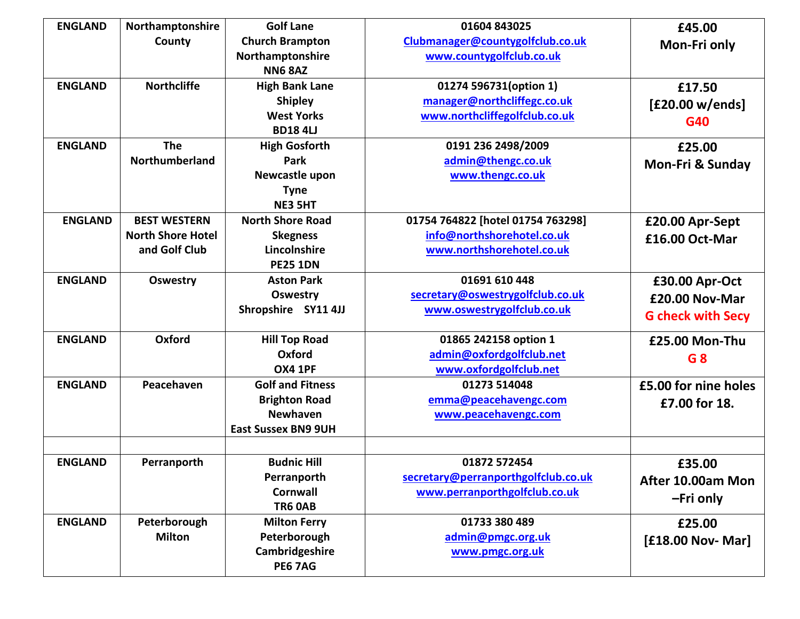| <b>ENGLAND</b> | Northamptonshire         | <b>Golf Lane</b>           | 01604 843025                        | £45.00                      |
|----------------|--------------------------|----------------------------|-------------------------------------|-----------------------------|
|                | County                   | <b>Church Brampton</b>     | Clubmanager@countygolfclub.co.uk    | Mon-Fri only                |
|                |                          | Northamptonshire           | www.countygolfclub.co.uk            |                             |
|                |                          | <b>NN6 8AZ</b>             |                                     |                             |
| <b>ENGLAND</b> | <b>Northcliffe</b>       | <b>High Bank Lane</b>      | 01274 596731(option 1)              | £17.50                      |
|                |                          | <b>Shipley</b>             | manager@northcliffegc.co.uk         | [£20.00 w/ends]             |
|                |                          | <b>West Yorks</b>          | www.northcliffegolfclub.co.uk       | G40                         |
|                |                          | <b>BD184U</b>              |                                     |                             |
| <b>ENGLAND</b> | <b>The</b>               | <b>High Gosforth</b>       | 0191 236 2498/2009                  | £25.00                      |
|                | Northumberland           | Park                       | admin@thengc.co.uk                  | <b>Mon-Fri &amp; Sunday</b> |
|                |                          | Newcastle upon             | www.thengc.co.uk                    |                             |
|                |                          | <b>Tyne</b>                |                                     |                             |
|                |                          | <b>NE3 5HT</b>             |                                     |                             |
| <b>ENGLAND</b> | <b>BEST WESTERN</b>      | <b>North Shore Road</b>    | 01754 764822 [hotel 01754 763298]   | £20.00 Apr-Sept             |
|                | <b>North Shore Hotel</b> | <b>Skegness</b>            | info@northshorehotel.co.uk          | £16.00 Oct-Mar              |
|                | and Golf Club            | Lincolnshire               | www.northshorehotel.co.uk           |                             |
|                |                          | <b>PE25 1DN</b>            |                                     |                             |
| <b>ENGLAND</b> | <b>Oswestry</b>          | <b>Aston Park</b>          | 01691 610 448                       | £30.00 Apr-Oct              |
|                |                          | <b>Oswestry</b>            | secretary@oswestrygolfclub.co.uk    | £20.00 Nov-Mar              |
|                |                          | Shropshire SY11 4JJ        | www.oswestrygolfclub.co.uk          | <b>G</b> check with Secy    |
|                |                          |                            |                                     |                             |
| <b>ENGLAND</b> | Oxford                   | <b>Hill Top Road</b>       | 01865 242158 option 1               | £25.00 Mon-Thu              |
|                |                          | Oxford                     | admin@oxfordgolfclub.net            | G 8                         |
|                |                          | <b>OX4 1PF</b>             | www.oxfordgolfclub.net              |                             |
| <b>ENGLAND</b> | Peacehaven               | <b>Golf and Fitness</b>    | 01273 514048                        | £5.00 for nine holes        |
|                |                          | <b>Brighton Road</b>       | emma@peacehavengc.com               | £7.00 for 18.               |
|                |                          | <b>Newhaven</b>            | www.peacehavengc.com                |                             |
|                |                          | <b>East Sussex BN9 9UH</b> |                                     |                             |
|                |                          |                            |                                     |                             |
| <b>ENGLAND</b> | Perranporth              | <b>Budnic Hill</b>         | 01872 572454                        | £35.00                      |
|                |                          | Perranporth                | secretary@perranporthgolfclub.co.uk | After 10.00am Mon           |
|                |                          | <b>Cornwall</b>            | www.perranporthgolfclub.co.uk       |                             |
|                |                          | <b>TR6 0AB</b>             |                                     | -Fri only                   |
| <b>ENGLAND</b> | Peterborough             | <b>Milton Ferry</b>        | 01733 380 489                       | £25.00                      |
|                | <b>Milton</b>            | Peterborough               | admin@pmgc.org.uk                   | [£18.00 Nov- Mar]           |
|                |                          | Cambridgeshire             | www.pmgc.org.uk                     |                             |
|                |                          | <b>PE6 7AG</b>             |                                     |                             |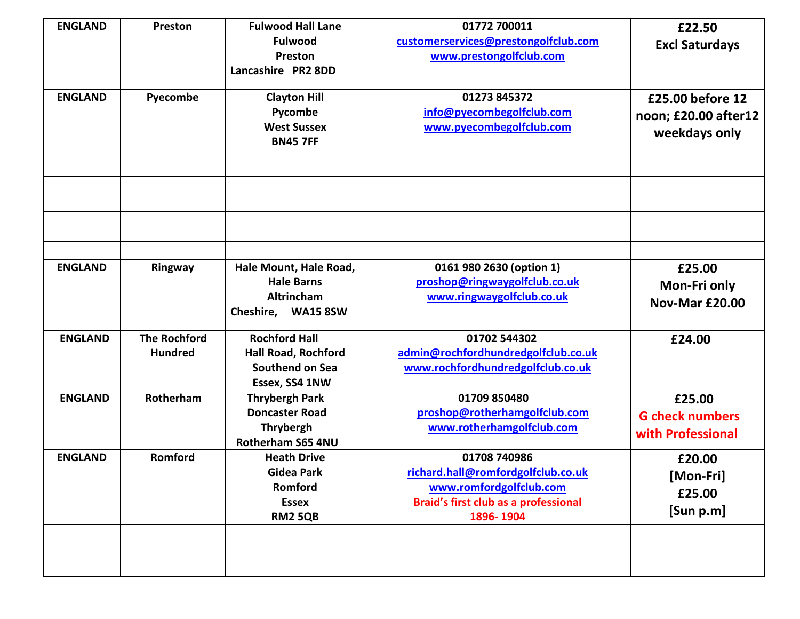| <b>ENGLAND</b> | Preston             | <b>Fulwood Hall Lane</b>                       | 01772 700011                                | £22.50                 |
|----------------|---------------------|------------------------------------------------|---------------------------------------------|------------------------|
|                |                     | <b>Fulwood</b>                                 | customerservices@prestongolfclub.com        | <b>Excl Saturdays</b>  |
|                |                     | Preston                                        | www.prestongolfclub.com                     |                        |
|                |                     | Lancashire PR2 8DD                             |                                             |                        |
| <b>ENGLAND</b> | Pyecombe            | <b>Clayton Hill</b>                            | 01273 845372                                | £25.00 before 12       |
|                |                     | Pycombe                                        | info@pyecombegolfclub.com                   |                        |
|                |                     | <b>West Sussex</b>                             | www.pyecombegolfclub.com                    | noon; £20.00 after12   |
|                |                     | <b>BN45 7FF</b>                                |                                             | weekdays only          |
|                |                     |                                                |                                             |                        |
|                |                     |                                                |                                             |                        |
|                |                     |                                                |                                             |                        |
|                |                     |                                                |                                             |                        |
|                |                     |                                                |                                             |                        |
|                |                     |                                                |                                             |                        |
|                |                     |                                                |                                             |                        |
| <b>ENGLAND</b> | Ringway             | Hale Mount, Hale Road,                         | 0161 980 2630 (option 1)                    | £25.00                 |
|                |                     | <b>Hale Barns</b>                              | proshop@ringwaygolfclub.co.uk               | Mon-Fri only           |
|                |                     | Altrincham                                     | www.ringwaygolfclub.co.uk                   | <b>Nov-Mar £20.00</b>  |
|                |                     | Cheshire, WA15 8SW                             |                                             |                        |
|                |                     |                                                |                                             |                        |
| <b>ENGLAND</b> | <b>The Rochford</b> | <b>Rochford Hall</b>                           | 01702 544302                                | £24.00                 |
|                | <b>Hundred</b>      | Hall Road, Rochford                            | admin@rochfordhundredgolfclub.co.uk         |                        |
|                |                     | Southend on Sea                                | www.rochfordhundredgolfclub.co.uk           |                        |
| <b>ENGLAND</b> | Rotherham           | Essex, SS4 1NW                                 | 01709 850480                                |                        |
|                |                     | <b>Thrybergh Park</b><br><b>Doncaster Road</b> | proshop@rotherhamgolfclub.com               | £25.00                 |
|                |                     | <b>Thrybergh</b>                               |                                             | <b>G</b> check numbers |
|                |                     | Rotherham S65 4NU                              | www.rotherhamgolfclub.com                   | with Professional      |
| <b>ENGLAND</b> | Romford             | <b>Heath Drive</b>                             | 01708 740986                                |                        |
|                |                     | <b>Gidea Park</b>                              | richard.hall@romfordgolfclub.co.uk          | £20.00                 |
|                |                     | Romford                                        | www.romfordgolfclub.com                     | [Mon-Fri]              |
|                |                     | <b>Essex</b>                                   | <b>Braid's first club as a professional</b> | £25.00                 |
|                |                     | <b>RM2 5QB</b>                                 | 1896-1904                                   | [Sun p.m]              |
|                |                     |                                                |                                             |                        |
|                |                     |                                                |                                             |                        |
|                |                     |                                                |                                             |                        |
|                |                     |                                                |                                             |                        |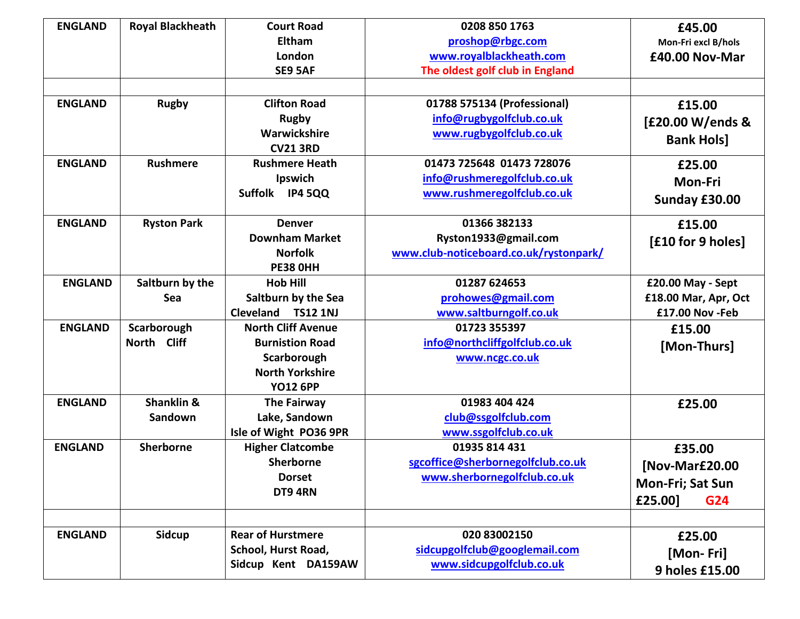| <b>ENGLAND</b>                   | <b>Royal Blackheath</b>         | <b>Court Road</b><br><b>Eltham</b><br>London<br>SE9 5AF                                                         | 0208 850 1763<br>proshop@rbgc.com<br>www.royalblackheath.com<br>The oldest golf club in England                 | £45.00<br>Mon-Fri excl B/hols<br>£40.00 Nov-Mar                |
|----------------------------------|---------------------------------|-----------------------------------------------------------------------------------------------------------------|-----------------------------------------------------------------------------------------------------------------|----------------------------------------------------------------|
|                                  |                                 |                                                                                                                 |                                                                                                                 |                                                                |
| <b>ENGLAND</b><br><b>ENGLAND</b> | <b>Rugby</b><br><b>Rushmere</b> | <b>Clifton Road</b><br><b>Rugby</b><br>Warwickshire<br><b>CV21 3RD</b><br><b>Rushmere Heath</b>                 | 01788 575134 (Professional)<br>info@rugbygolfclub.co.uk<br>www.rugbygolfclub.co.uk<br>01473 725648 01473 728076 | £15.00<br>[£20.00 W/ends &<br><b>Bank Hols]</b><br>£25.00      |
|                                  |                                 | Ipswich<br>Suffolk IP4 5QQ                                                                                      | info@rushmeregolfclub.co.uk<br>www.rushmeregolfclub.co.uk                                                       | Mon-Fri<br>Sunday £30.00                                       |
| <b>ENGLAND</b>                   | <b>Ryston Park</b>              | <b>Denver</b><br><b>Downham Market</b><br><b>Norfolk</b><br><b>PE38 OHH</b>                                     | 01366 382133<br>Ryston1933@gmail.com<br>www.club-noticeboard.co.uk/rystonpark/                                  | £15.00<br>[£10 for 9 holes]                                    |
| <b>ENGLAND</b>                   | Saltburn by the<br>Sea          | <b>Hob Hill</b><br>Saltburn by the Sea<br>Cleveland TS12 1NJ                                                    | 01287 624653<br>prohowes@gmail.com<br>www.saltburngolf.co.uk                                                    | £20.00 May - Sept<br>£18.00 Mar, Apr, Oct<br>£17.00 Nov - Feb  |
| <b>ENGLAND</b>                   | Scarborough<br>North Cliff      | <b>North Cliff Avenue</b><br><b>Burnistion Road</b><br>Scarborough<br><b>North Yorkshire</b><br><b>YO12 6PP</b> | 01723 355397<br>info@northcliffgolfclub.co.uk<br>www.ncgc.co.uk                                                 | £15.00<br>[Mon-Thurs]                                          |
| <b>ENGLAND</b>                   | Shanklin &<br>Sandown           | The Fairway<br>Lake, Sandown<br>Isle of Wight PO36 9PR                                                          | 01983 404 424<br>club@ssgolfclub.com<br>www.ssgolfclub.co.uk                                                    | £25.00                                                         |
| <b>ENGLAND</b>                   | Sherborne                       | <b>Higher Clatcombe</b><br><b>Sherborne</b><br><b>Dorset</b><br>DT9 4RN                                         | 01935 814 431<br>sgcoffice@sherbornegolfclub.co.uk<br>www.sherbornegolfclub.co.uk                               | £35.00<br>[Nov-Mar£20.00<br>Mon-Fri; Sat Sun<br>£25.00]<br>G24 |
| <b>ENGLAND</b>                   | <b>Sidcup</b>                   | <b>Rear of Hurstmere</b><br>School, Hurst Road,<br>Sidcup Kent DA159AW                                          | 020 83002150<br>sidcupgolfclub@googlemail.com<br>www.sidcupgolfclub.co.uk                                       | £25.00<br>[Mon-Fri]<br>9 holes £15.00                          |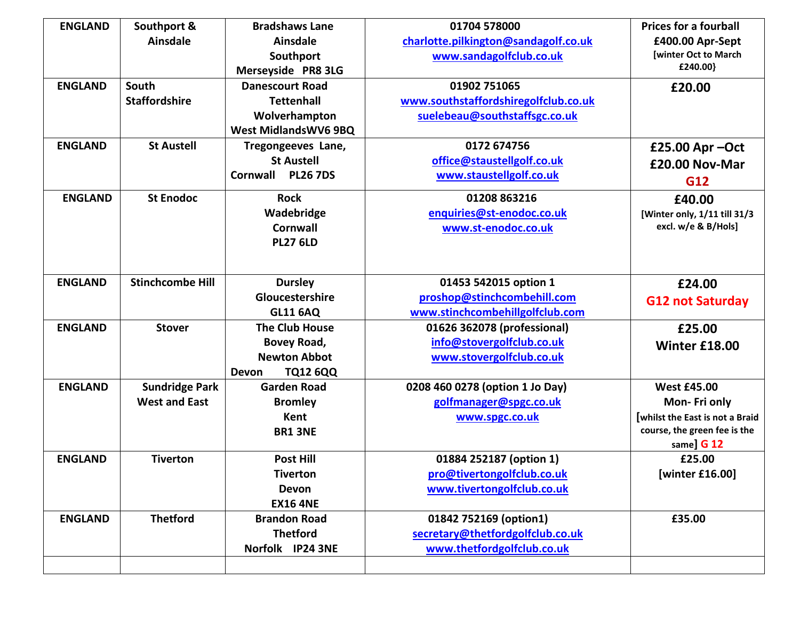| <b>ENGLAND</b> | Southport &             | <b>Bradshaws Lane</b>              | 01704 578000                         | <b>Prices for a fourball</b>          |
|----------------|-------------------------|------------------------------------|--------------------------------------|---------------------------------------|
|                | <b>Ainsdale</b>         | <b>Ainsdale</b>                    | charlotte.pilkington@sandagolf.co.uk | £400.00 Apr-Sept                      |
|                |                         | Southport                          | www.sandagolfclub.co.uk              | [winter Oct to March                  |
|                |                         | Merseyside PR8 3LG                 |                                      | £240.00}                              |
| <b>ENGLAND</b> | South                   | <b>Danescourt Road</b>             | 01902 751065                         | £20.00                                |
|                | <b>Staffordshire</b>    | <b>Tettenhall</b>                  | www.southstaffordshiregolfclub.co.uk |                                       |
|                |                         | Wolverhampton                      | suelebeau@southstaffsgc.co.uk        |                                       |
|                |                         | <b>West MidlandsWV6 9BQ</b>        |                                      |                                       |
| <b>ENGLAND</b> | <b>St Austell</b>       | Tregongeeves Lane,                 | 0172 674756                          | £25.00 Apr - Oct                      |
|                |                         | <b>St Austell</b>                  | office@staustellgolf.co.uk           | £20.00 Nov-Mar                        |
|                |                         | <b>Cornwall</b><br><b>PL26 7DS</b> | www.staustellgolf.co.uk              | G12                                   |
| <b>ENGLAND</b> | <b>St Enodoc</b>        | <b>Rock</b>                        | 01208 863216                         | £40.00                                |
|                |                         | Wadebridge                         | enquiries@st-enodoc.co.uk            | [Winter only, 1/11 till 31/3          |
|                |                         | <b>Cornwall</b>                    | www.st-enodoc.co.uk                  | excl. w/e & B/Hols]                   |
|                |                         | <b>PL27 6LD</b>                    |                                      |                                       |
|                |                         |                                    |                                      |                                       |
| <b>ENGLAND</b> | <b>Stinchcombe Hill</b> | <b>Dursley</b>                     | 01453 542015 option 1                | £24.00                                |
|                |                         | Gloucestershire                    | proshop@stinchcombehill.com          | <b>G12 not Saturday</b>               |
|                |                         | <b>GL11 6AQ</b>                    | www.stinchcombehillgolfclub.com      |                                       |
| <b>ENGLAND</b> | <b>Stover</b>           | <b>The Club House</b>              | 01626 362078 (professional)          | £25.00                                |
|                |                         | Bovey Road,                        | info@stovergolfclub.co.uk            | Winter £18.00                         |
|                |                         | <b>Newton Abbot</b>                | www.stovergolfclub.co.uk             |                                       |
|                |                         | Devon<br><b>TQ12 6QQ</b>           |                                      |                                       |
| <b>ENGLAND</b> | <b>Sundridge Park</b>   | <b>Garden Road</b>                 | 0208 460 0278 (option 1 Jo Day)      | <b>West £45.00</b>                    |
|                | <b>West and East</b>    | <b>Bromley</b>                     | golfmanager@spgc.co.uk               | Mon-Fri only                          |
|                |                         | Kent                               | www.spgc.co.uk                       | <b>whilst the East is not a Braid</b> |
|                |                         | <b>BR1 3NE</b>                     |                                      | course, the green fee is the          |
|                |                         |                                    |                                      | same] G 12                            |
| <b>ENGLAND</b> | <b>Tiverton</b>         | <b>Post Hill</b>                   | 01884 252187 (option 1)              | £25.00                                |
|                |                         | Tiverton                           | pro@tivertongolfclub.co.uk           | [winter £16.00]                       |
|                |                         | Devon                              | www.tivertongolfclub.co.uk           |                                       |
|                |                         | <b>EX16 4NE</b>                    |                                      |                                       |
| <b>ENGLAND</b> | <b>Thetford</b>         | <b>Brandon Road</b>                | 01842 752169 (option1)               | £35.00                                |
|                |                         | <b>Thetford</b>                    | secretary@thetfordgolfclub.co.uk     |                                       |
|                |                         | Norfolk IP24 3NE                   | www.thetfordgolfclub.co.uk           |                                       |
|                |                         |                                    |                                      |                                       |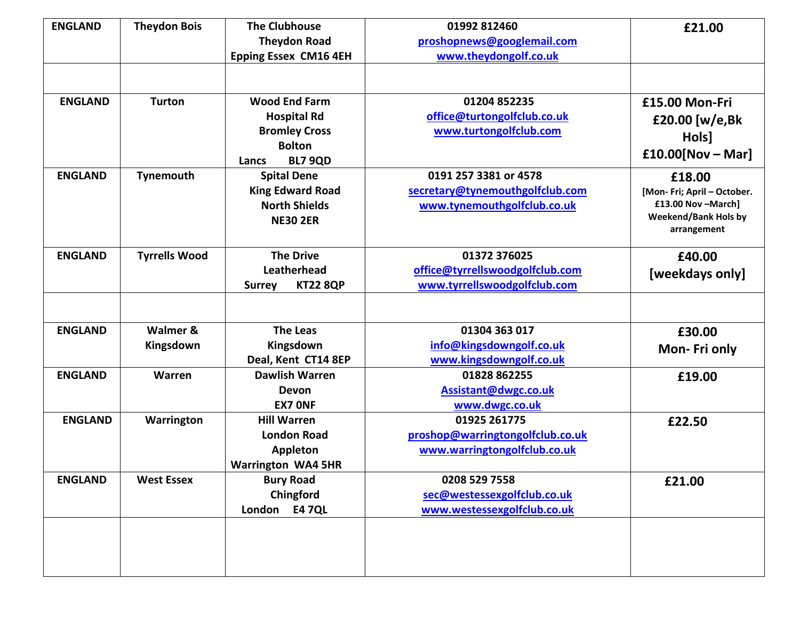| <b>ENGLAND</b> | <b>Theydon Bois</b>  | <b>The Clubhouse</b>             | 01992 812460                     | £21.00                                     |
|----------------|----------------------|----------------------------------|----------------------------------|--------------------------------------------|
|                |                      | <b>Theydon Road</b>              | proshopnews@googlemail.com       |                                            |
|                |                      | <b>Epping Essex CM16 4EH</b>     | www.theydongolf.co.uk            |                                            |
|                |                      |                                  |                                  |                                            |
|                |                      |                                  |                                  |                                            |
| <b>ENGLAND</b> | <b>Turton</b>        | <b>Wood End Farm</b>             | 01204 852235                     | £15.00 Mon-Fri                             |
|                |                      | <b>Hospital Rd</b>               | office@turtongolfclub.co.uk      | £20.00 [w/e,Bk                             |
|                |                      | <b>Bromley Cross</b>             | www.turtongolfclub.com           | Hols]                                      |
|                |                      | <b>Bolton</b>                    |                                  | $£10.00[Nov - Mar]$                        |
|                |                      | <b>BL7 9QD</b><br>Lancs          |                                  |                                            |
| <b>ENGLAND</b> | Tynemouth            | <b>Spital Dene</b>               | 0191 257 3381 or 4578            | £18.00                                     |
|                |                      | <b>King Edward Road</b>          | secretary@tynemouthgolfclub.com  | [Mon- Fri; April - October.                |
|                |                      | <b>North Shields</b>             | www.tynemouthgolfclub.co.uk      | £13.00 Nov - March]                        |
|                |                      | <b>NE30 2ER</b>                  |                                  | <b>Weekend/Bank Hols by</b><br>arrangement |
|                |                      |                                  |                                  |                                            |
| <b>ENGLAND</b> | <b>Tyrrells Wood</b> | <b>The Drive</b>                 | 01372 376025                     | £40.00                                     |
|                |                      | Leatherhead                      | office@tyrrellswoodgolfclub.com  | [weekdays only]                            |
|                |                      | <b>KT22 8QP</b><br><b>Surrey</b> | www.tyrrellswoodgolfclub.com     |                                            |
|                |                      |                                  |                                  |                                            |
|                |                      |                                  |                                  |                                            |
| <b>ENGLAND</b> | Walmer &             | <b>The Leas</b>                  | 01304 363 017                    | £30.00                                     |
|                | Kingsdown            | Kingsdown                        | info@kingsdowngolf.co.uk         | Mon-Fri only                               |
|                |                      | Deal, Kent CT14 8EP              | www.kingsdowngolf.co.uk          |                                            |
| <b>ENGLAND</b> | Warren               | <b>Dawlish Warren</b>            | 01828 862255                     | £19.00                                     |
|                |                      | <b>Devon</b>                     | Assistant@dwgc.co.uk             |                                            |
|                |                      | <b>EX7 ONF</b>                   | www.dwgc.co.uk                   |                                            |
| <b>ENGLAND</b> | Warrington           | <b>Hill Warren</b>               | 01925 261775                     | £22.50                                     |
|                |                      | <b>London Road</b>               | proshop@warringtongolfclub.co.uk |                                            |
|                |                      | Appleton                         | www.warringtongolfclub.co.uk     |                                            |
|                |                      | <b>Warrington WA4 5HR</b>        |                                  |                                            |
| <b>ENGLAND</b> | <b>West Essex</b>    | <b>Bury Road</b>                 | 0208 529 7558                    | £21.00                                     |
|                |                      | Chingford                        | sec@westessexgolfclub.co.uk      |                                            |
|                |                      | <b>E4 7QL</b><br>London          | www.westessexgolfclub.co.uk      |                                            |
|                |                      |                                  |                                  |                                            |
|                |                      |                                  |                                  |                                            |
|                |                      |                                  |                                  |                                            |
|                |                      |                                  |                                  |                                            |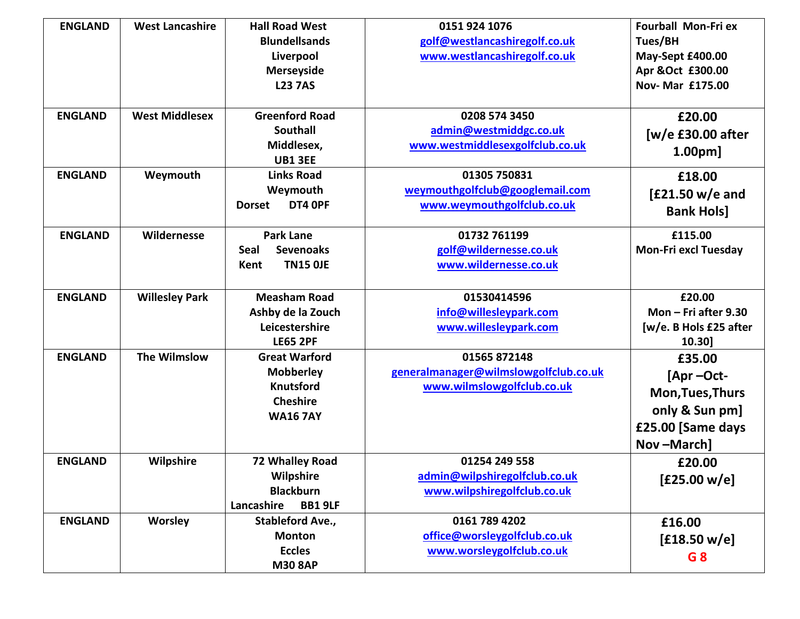| <b>ENGLAND</b> | <b>West Lancashire</b> | <b>Hall Road West</b><br><b>Blundellsands</b><br>Liverpool<br><b>Merseyside</b><br><b>L23 7AS</b>  | 0151 924 1076<br>golf@westlancashiregolf.co.uk<br>www.westlancashiregolf.co.uk      | <b>Fourball Mon-Fri ex</b><br>Tues/BH<br>May-Sept £400.00<br>Apr &Oct £300.00<br>Nov- Mar £175.00 |
|----------------|------------------------|----------------------------------------------------------------------------------------------------|-------------------------------------------------------------------------------------|---------------------------------------------------------------------------------------------------|
| <b>ENGLAND</b> | <b>West Middlesex</b>  | <b>Greenford Road</b><br><b>Southall</b><br>Middlesex,<br><b>UB1 3EE</b>                           | 0208 574 3450<br>admin@westmiddgc.co.uk<br>www.westmiddlesexgolfclub.co.uk          | £20.00<br>$[w/e$ £30.00 after<br>1.00 <sub>pm</sub>                                               |
| <b>ENGLAND</b> | Weymouth               | <b>Links Road</b><br>Weymouth<br>DT4 OPF<br><b>Dorset</b>                                          | 01305 750831<br>weymouthgolfclub@googlemail.com<br>www.weymouthgolfclub.co.uk       | £18.00<br>$E21.50$ w/e and<br><b>Bank Hols]</b>                                                   |
| <b>ENGLAND</b> | Wildernesse            | <b>Park Lane</b><br><b>Sevenoaks</b><br>Seal<br><b>TN15 OJE</b><br>Kent                            | 01732 761199<br>golf@wildernesse.co.uk<br>www.wildernesse.co.uk                     | £115.00<br><b>Mon-Fri excl Tuesday</b>                                                            |
| <b>ENGLAND</b> | <b>Willesley Park</b>  | <b>Measham Road</b><br>Ashby de la Zouch<br>Leicestershire<br><b>LE65 2PF</b>                      | 01530414596<br>info@willesleypark.com<br>www.willesleypark.com                      | £20.00<br>Mon $-$ Fri after 9.30<br>[w/e. B Hols £25 after<br>10.30]                              |
| <b>ENGLAND</b> | The Wilmslow           | <b>Great Warford</b><br><b>Mobberley</b><br><b>Knutsford</b><br><b>Cheshire</b><br><b>WA16 7AY</b> | 01565 872148<br>generalmanager@wilmslowgolfclub.co.uk<br>www.wilmslowgolfclub.co.uk | £35.00<br>[Apr-Oct-<br>Mon, Tues, Thurs<br>only & Sun pm]<br>£25.00 [Same days<br>Nov-March]      |
| <b>ENGLAND</b> | <b>Wilpshire</b>       | 72 Whalley Road<br>Wilpshire<br><b>Blackburn</b><br>Lancashire<br><b>BB1 9LF</b>                   | 01254 249 558<br>admin@wilpshiregolfclub.co.uk<br>www.wilpshiregolfclub.co.uk       | £20.00<br>[£25.00 w/e]                                                                            |
| <b>ENGLAND</b> | <b>Worsley</b>         | <b>Stableford Ave.,</b><br><b>Monton</b><br><b>Eccles</b><br><b>M30 8AP</b>                        | 0161 789 4202<br>office@worsleygolfclub.co.uk<br>www.worsleygolfclub.co.uk          | £16.00<br>[£18.50 w/e]<br>G8                                                                      |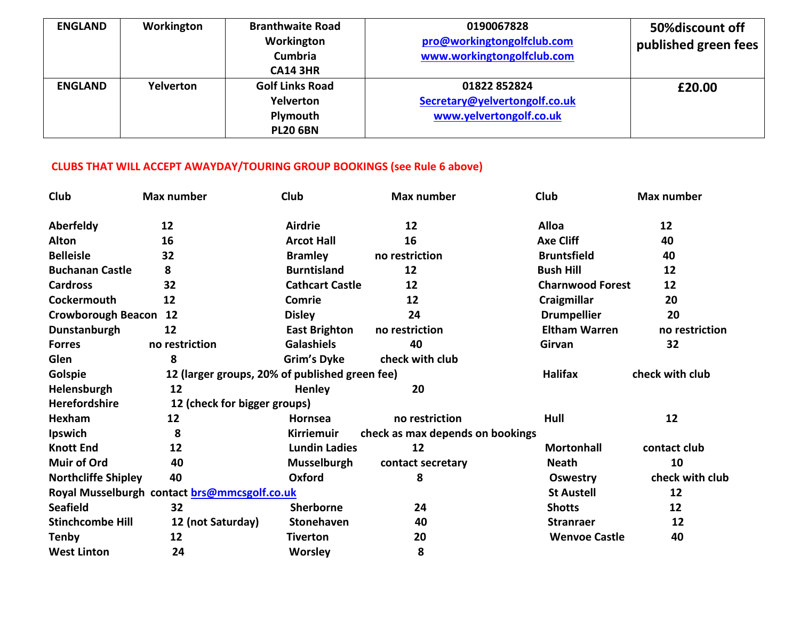| <b>ENGLAND</b> | Workington | <b>Branthwaite Road</b> | 0190067828                    | 50% discount off     |
|----------------|------------|-------------------------|-------------------------------|----------------------|
|                |            | Workington              | pro@workingtongolfclub.com    | published green fees |
|                |            | Cumbria                 | www.workingtongolfclub.com    |                      |
|                |            | <b>CA14 3HR</b>         |                               |                      |
| <b>ENGLAND</b> | Yelverton  | <b>Golf Links Road</b>  | 01822 852824                  | £20.00               |
|                |            | Yelverton               | Secretary@yelvertongolf.co.uk |                      |
|                |            | Plymouth                | www.yelvertongolf.co.uk       |                      |
|                |            | <b>PL20 6BN</b>         |                               |                      |

## **CLUBS THAT WILL ACCEPT AWAYDAY/TOURING GROUP BOOKINGS (see Rule 6 above)**

| Club                                         | Max number                                     | Club                   | Max number                       | Club                    | Max number      |
|----------------------------------------------|------------------------------------------------|------------------------|----------------------------------|-------------------------|-----------------|
| Aberfeldy                                    | 12                                             | <b>Airdrie</b>         | 12                               | <b>Alloa</b>            | 12              |
| <b>Alton</b>                                 | 16                                             | <b>Arcot Hall</b>      | 16                               | <b>Axe Cliff</b>        | 40              |
| <b>Belleisle</b>                             | 32                                             | <b>Bramley</b>         | no restriction                   | <b>Bruntsfield</b>      | 40              |
| <b>Buchanan Castle</b>                       | 8                                              | <b>Burntisland</b>     | 12                               | <b>Bush Hill</b>        | 12              |
| <b>Cardross</b>                              | 32                                             | <b>Cathcart Castle</b> | 12                               | <b>Charnwood Forest</b> | 12              |
| Cockermouth                                  | 12                                             | Comrie                 | 12                               | Craigmillar             | 20              |
| <b>Crowborough Beacon</b>                    | 12                                             | <b>Disley</b>          | 24                               | <b>Drumpellier</b>      | 20              |
| Dunstanburgh                                 | 12                                             | <b>East Brighton</b>   | no restriction                   | <b>Eltham Warren</b>    | no restriction  |
| <b>Forres</b>                                | no restriction                                 | <b>Galashiels</b>      | 40                               | Girvan                  | 32              |
| Glen                                         | 8                                              | Grim's Dyke            | check with club                  |                         |                 |
| Golspie                                      | 12 (larger groups, 20% of published green fee) |                        | <b>Halifax</b>                   | check with club         |                 |
| Helensburgh                                  | 12                                             | <b>Henley</b>          | 20                               |                         |                 |
| Herefordshire                                | 12 (check for bigger groups)                   |                        |                                  |                         |                 |
| Hexham                                       | 12                                             | <b>Hornsea</b>         | no restriction                   | Hull                    | 12              |
| Ipswich                                      | 8                                              | <b>Kirriemuir</b>      | check as max depends on bookings |                         |                 |
| <b>Knott End</b>                             | 12                                             | <b>Lundin Ladies</b>   | 12                               | <b>Mortonhall</b>       | contact club    |
| <b>Muir of Ord</b>                           | 40                                             | <b>Musselburgh</b>     | contact secretary                | <b>Neath</b>            | 10              |
| <b>Northcliffe Shipley</b>                   | 40                                             | Oxford                 | 8                                | <b>Oswestry</b>         | check with club |
| Royal Musselburgh contact brs@mmcsgolf.co.uk |                                                |                        |                                  | <b>St Austell</b>       | 12              |
| <b>Seafield</b>                              | 32                                             | Sherborne              | 24                               | <b>Shotts</b>           | 12              |
| <b>Stinchcombe Hill</b>                      | 12 (not Saturday)                              | <b>Stonehaven</b>      | 40                               | <b>Stranraer</b>        | 12              |
| <b>Tenby</b>                                 | 12                                             | <b>Tiverton</b>        | 20                               | <b>Wenvoe Castle</b>    | 40              |
| <b>West Linton</b>                           | 24                                             | <b>Worsley</b>         | 8                                |                         |                 |